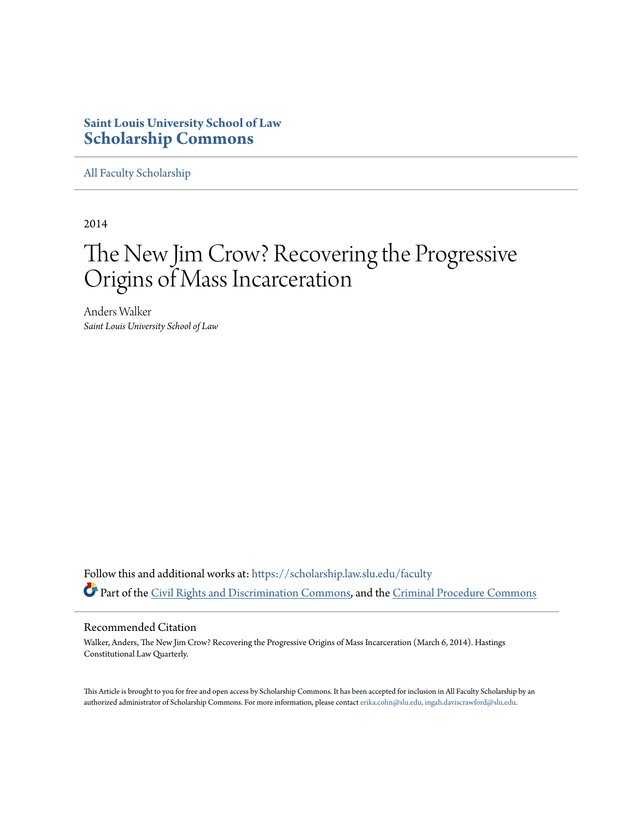## **Saint Louis University School of Law [Scholarship Commons](https://scholarship.law.slu.edu?utm_source=scholarship.law.slu.edu%2Ffaculty%2F89&utm_medium=PDF&utm_campaign=PDFCoverPages)**

[All Faculty Scholarship](https://scholarship.law.slu.edu/faculty?utm_source=scholarship.law.slu.edu%2Ffaculty%2F89&utm_medium=PDF&utm_campaign=PDFCoverPages)

2014

# The New Jim Crow? Recovering the Progressive Origins of Mass Incarceration

Anders Walker *Saint Louis University School of Law*

Follow this and additional works at: [https://scholarship.law.slu.edu/faculty](https://scholarship.law.slu.edu/faculty?utm_source=scholarship.law.slu.edu%2Ffaculty%2F89&utm_medium=PDF&utm_campaign=PDFCoverPages) Part of the [Civil Rights and Discrimination Commons,](http://network.bepress.com/hgg/discipline/585?utm_source=scholarship.law.slu.edu%2Ffaculty%2F89&utm_medium=PDF&utm_campaign=PDFCoverPages) and the [Criminal Procedure Commons](http://network.bepress.com/hgg/discipline/1073?utm_source=scholarship.law.slu.edu%2Ffaculty%2F89&utm_medium=PDF&utm_campaign=PDFCoverPages)

#### Recommended Citation

Walker, Anders, The New Jim Crow? Recovering the Progressive Origins of Mass Incarceration (March 6, 2014). Hastings Constitutional Law Quarterly.

This Article is brought to you for free and open access by Scholarship Commons. It has been accepted for inclusion in All Faculty Scholarship by an authorized administrator of Scholarship Commons. For more information, please contact [erika.cohn@slu.edu, ingah.daviscrawford@slu.edu](mailto:erika.cohn@slu.edu,%20ingah.daviscrawford@slu.edu).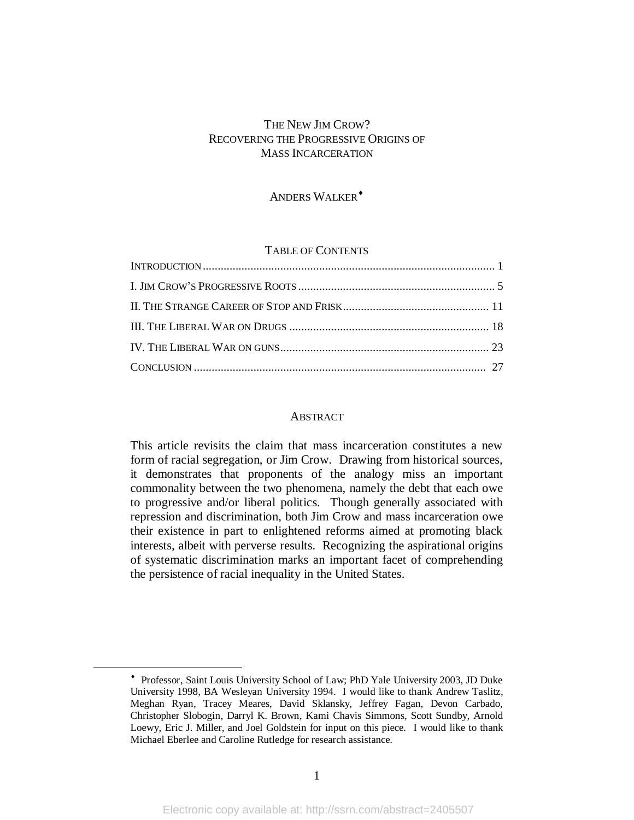## THE NEW JIM CROW? RECOVERING THE PROGRESSIVE ORIGINS OF MASS INCARCERATION

## ANDERS WALKER<sup>+</sup>

## TABLE OF CONTENTS

#### **ABSTRACT**

This article revisits the claim that mass incarceration constitutes a new form of racial segregation, or Jim Crow. Drawing from historical sources, it demonstrates that proponents of the analogy miss an important commonality between the two phenomena, namely the debt that each owe to progressive and/or liberal politics. Though generally associated with repression and discrimination, both Jim Crow and mass incarceration owe their existence in part to enlightened reforms aimed at promoting black interests, albeit with perverse results. Recognizing the aspirational origins of systematic discrimination marks an important facet of comprehending the persistence of racial inequality in the United States.

 Professor, Saint Louis University School of Law; PhD Yale University 2003, JD Duke University 1998, BA Wesleyan University 1994. I would like to thank Andrew Taslitz, Meghan Ryan, Tracey Meares, David Sklansky, Jeffrey Fagan, Devon Carbado, Christopher Slobogin, Darryl K. Brown, Kami Chavis Simmons, Scott Sundby, Arnold Loewy, Eric J. Miller, and Joel Goldstein for input on this piece. I would like to thank Michael Eberlee and Caroline Rutledge for research assistance.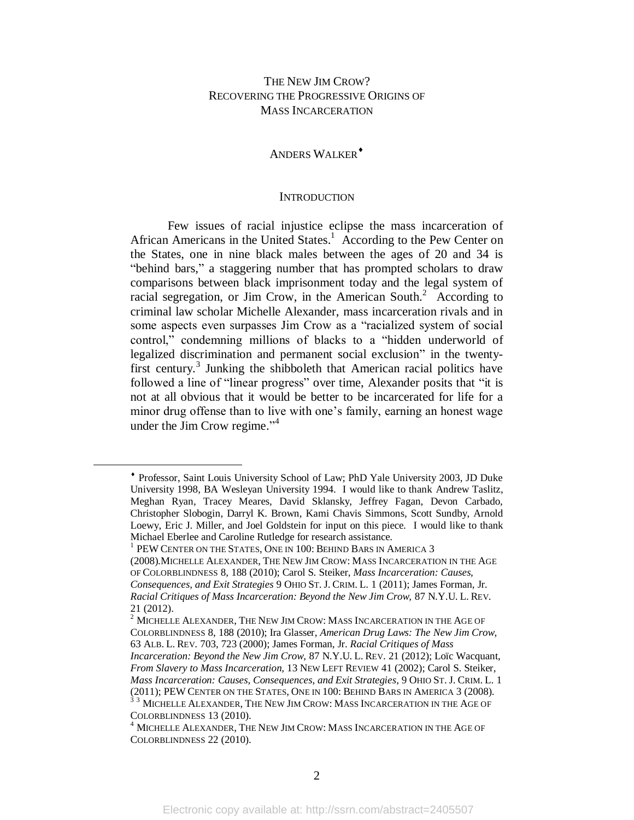## THE NEW JIM CROW? RECOVERING THE PROGRESSIVE ORIGINS OF MASS INCARCERATION

## ANDERS WALKER<sup>+</sup>

#### **INTRODUCTION**

Few issues of racial injustice eclipse the mass incarceration of African Americans in the United States.<sup>1</sup> According to the Pew Center on the States, one in nine black males between the ages of 20 and 34 is "behind bars," a staggering number that has prompted scholars to draw comparisons between black imprisonment today and the legal system of racial segregation, or Jim Crow, in the American South.<sup>2</sup> According to criminal law scholar Michelle Alexander, mass incarceration rivals and in some aspects even surpasses Jim Crow as a "racialized system of social control," condemning millions of blacks to a "hidden underworld of legalized discrimination and permanent social exclusion" in the twentyfirst century.<sup>3</sup> Junking the shibboleth that American racial politics have followed a line of "linear progress" over time, Alexander posits that "it is not at all obvious that it would be better to be incarcerated for life for a minor drug offense than to live with one's family, earning an honest wage under the Jim Crow regime."<sup>4</sup>

1 PEW CENTER ON THE STATES, ONE IN 100: BEHIND BARS IN AMERICA 3

Professor, Saint Louis University School of Law; PhD Yale University 2003, JD Duke University 1998, BA Wesleyan University 1994. I would like to thank Andrew Taslitz, Meghan Ryan, Tracey Meares, David Sklansky, Jeffrey Fagan, Devon Carbado, Christopher Slobogin, Darryl K. Brown, Kami Chavis Simmons, Scott Sundby, Arnold Loewy, Eric J. Miller, and Joel Goldstein for input on this piece. I would like to thank Michael Eberlee and Caroline Rutledge for research assistance.

<sup>(2008).</sup>MICHELLE ALEXANDER, THE NEW JIM CROW: MASS INCARCERATION IN THE AGE OF COLORBLINDNESS 8, 188 (2010); Carol S. Steiker, *Mass Incarceration: Causes, Consequences, and Exit Strategies* 9 OHIO ST. J. CRIM. L. 1 (2011); James Forman, Jr. *Racial Critiques of Mass Incarceration: Beyond the New Jim Crow,* 87 N.Y.U. L. REV. 21 (2012).

 $^2$  MICHELLE ALEXANDER, THE NEW JIM CROW: MASS INCARCERATION IN THE AGE OF COLORBLINDNESS 8, 188 (2010); Ira Glasser, *American Drug Laws: The New Jim Crow,* 63 ALB. L. REV. 703, 723 (2000); James Forman, Jr. *Racial Critiques of Mass* 

*Incarceration: Beyond the New Jim Crow,* 87 N.Y.U. L. REV. 21 (2012); Loïc Wacquant, *From Slavery to Mass Incarceration,* 13 NEW LEFT REVIEW 41 (2002); Carol S. Steiker, *Mass Incarceration: Causes, Consequences, and Exit Strategies,* 9 OHIO ST. J. CRIM. L. 1 (2011); PEW CENTER ON THE STATES, ONE IN 100: BEHIND BARS IN AMERICA 3 (2008). <sup>33</sup> MICHELLE ALEXANDER, THE NEW JIM CROW: MASS INCARCERATION IN THE AGE OF COLORBLINDNESS 13 (2010).

<sup>4</sup> MICHELLE ALEXANDER, THE NEW JIM CROW: MASS INCARCERATION IN THE AGE OF COLORBLINDNESS 22 (2010).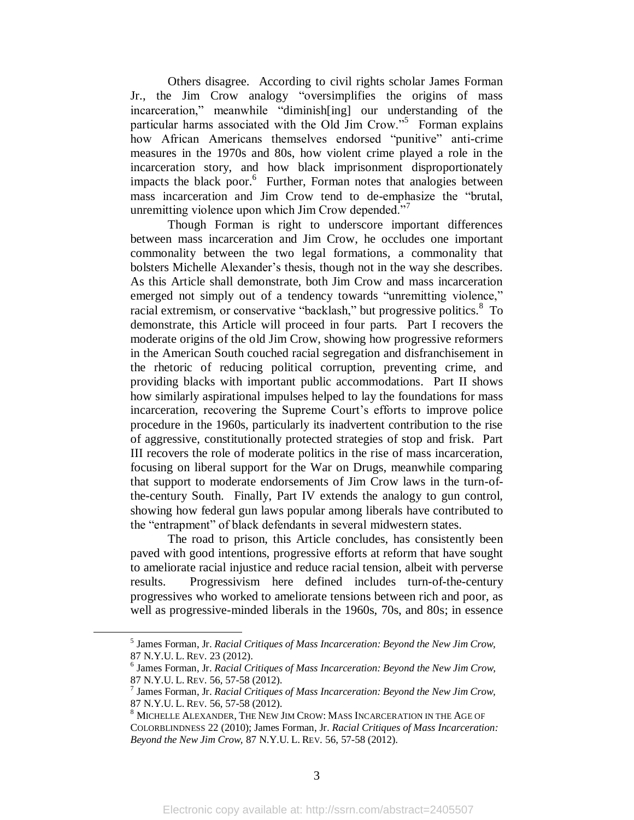Others disagree. According to civil rights scholar James Forman Jr., the Jim Crow analogy "oversimplifies the origins of mass incarceration," meanwhile "diminish[ing] our understanding of the particular harms associated with the Old Jim Crow."<sup>5</sup> Forman explains how African Americans themselves endorsed "punitive" anti-crime measures in the 1970s and 80s, how violent crime played a role in the incarceration story, and how black imprisonment disproportionately impacts the black poor.<sup>6</sup> Further, Forman notes that analogies between mass incarceration and Jim Crow tend to de-emphasize the "brutal, unremitting violence upon which Jim Crow depended."<sup>7</sup>

Though Forman is right to underscore important differences between mass incarceration and Jim Crow, he occludes one important commonality between the two legal formations, a commonality that bolsters Michelle Alexander's thesis, though not in the way she describes. As this Article shall demonstrate, both Jim Crow and mass incarceration emerged not simply out of a tendency towards "unremitting violence," racial extremism, or conservative "backlash," but progressive politics.<sup>8</sup> To demonstrate, this Article will proceed in four parts. Part I recovers the moderate origins of the old Jim Crow, showing how progressive reformers in the American South couched racial segregation and disfranchisement in the rhetoric of reducing political corruption, preventing crime, and providing blacks with important public accommodations. Part II shows how similarly aspirational impulses helped to lay the foundations for mass incarceration, recovering the Supreme Court's efforts to improve police procedure in the 1960s, particularly its inadvertent contribution to the rise of aggressive, constitutionally protected strategies of stop and frisk. Part III recovers the role of moderate politics in the rise of mass incarceration, focusing on liberal support for the War on Drugs, meanwhile comparing that support to moderate endorsements of Jim Crow laws in the turn-ofthe-century South. Finally, Part IV extends the analogy to gun control, showing how federal gun laws popular among liberals have contributed to the "entrapment" of black defendants in several midwestern states.

The road to prison, this Article concludes, has consistently been paved with good intentions, progressive efforts at reform that have sought to ameliorate racial injustice and reduce racial tension, albeit with perverse results. Progressivism here defined includes turn-of-the-century progressives who worked to ameliorate tensions between rich and poor, as well as progressive-minded liberals in the 1960s, 70s, and 80s; in essence

<sup>5</sup> James Forman, Jr. *Racial Critiques of Mass Incarceration: Beyond the New Jim Crow,* 87 N.Y.U. L. REV. 23 (2012).

<sup>6</sup> James Forman, Jr. *Racial Critiques of Mass Incarceration: Beyond the New Jim Crow,* 87 N.Y.U. L. REV. 56, 57-58 (2012).

<sup>7</sup> James Forman, Jr. *Racial Critiques of Mass Incarceration: Beyond the New Jim Crow,* 87 N.Y.U. L. REV. 56, 57-58 (2012).

<sup>8</sup> MICHELLE ALEXANDER, THE NEW JIM CROW: MASS INCARCERATION IN THE AGE OF COLORBLINDNESS 22 (2010); James Forman, Jr. *Racial Critiques of Mass Incarceration: Beyond the New Jim Crow,* 87 N.Y.U. L. REV. 56, 57-58 (2012).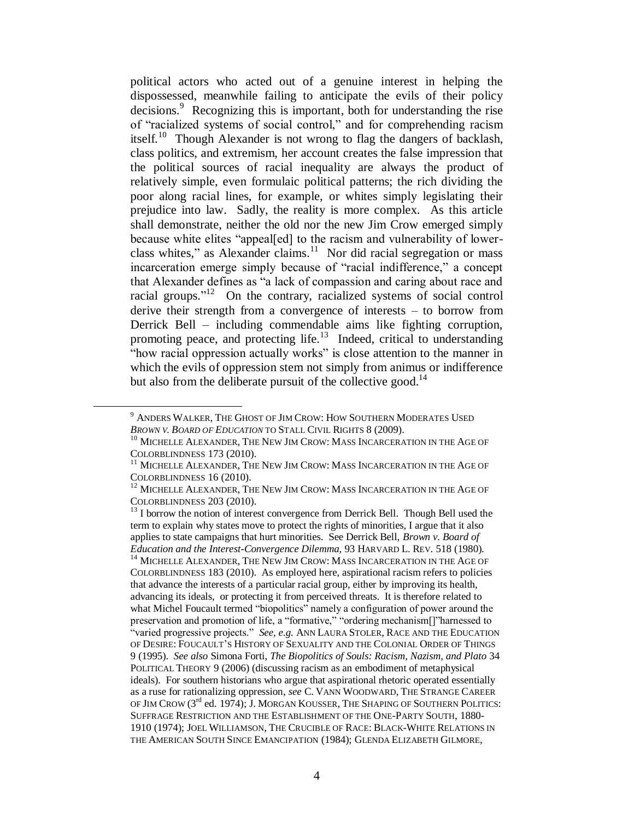political actors who acted out of a genuine interest in helping the dispossessed, meanwhile failing to anticipate the evils of their policy decisions. 9 Recognizing this is important, both for understanding the rise of "racialized systems of social control," and for comprehending racism itself.<sup>10</sup> Though Alexander is not wrong to flag the dangers of backlash, class politics, and extremism, her account creates the false impression that the political sources of racial inequality are always the product of relatively simple, even formulaic political patterns; the rich dividing the poor along racial lines, for example, or whites simply legislating their prejudice into law. Sadly, the reality is more complex. As this article shall demonstrate, neither the old nor the new Jim Crow emerged simply because white elites "appeal[ed] to the racism and vulnerability of lowerclass whites," as Alexander claims.<sup>11</sup> Nor did racial segregation or mass incarceration emerge simply because of "racial indifference," a concept that Alexander defines as "a lack of compassion and caring about race and racial groups."<sup>12</sup> On the contrary, racialized systems of social control derive their strength from a convergence of interests – to borrow from Derrick Bell – including commendable aims like fighting corruption, promoting peace, and protecting life.<sup>13</sup> Indeed, critical to understanding "how racial oppression actually works" is close attention to the manner in which the evils of oppression stem not simply from animus or indifference but also from the deliberate pursuit of the collective good. $^{14}$ 

<sup>9</sup> ANDERS WALKER, THE GHOST OF JIM CROW: HOW SOUTHERN MODERATES USED *BROWN V. BOARD OF EDUCATION* TO STALL CIVIL RIGHTS 8 (2009).

<sup>&</sup>lt;sup>10</sup> MICHELLE ALEXANDER, THE NEW JIM CROW: MASS INCARCERATION IN THE AGE OF COLORBLINDNESS 173 (2010).

<sup>&</sup>lt;sup>11</sup> MICHELLE ALEXANDER, THE NEW JIM CROW: MASS INCARCERATION IN THE AGE OF COLORBLINDNESS 16 (2010).

<sup>&</sup>lt;sup>12</sup> MICHELLE ALEXANDER, THE NEW JIM CROW: MASS INCARCERATION IN THE AGE OF COLORBLINDNESS 203 (2010).

 $13$  I borrow the notion of interest convergence from Derrick Bell. Though Bell used the term to explain why states move to protect the rights of minorities, I argue that it also applies to state campaigns that hurt minorities. See Derrick Bell, *Brown v. Board of Education and the Interest-Convergence Dilemma,* 93 HARVARD L. REV. 518 (1980). <sup>14</sup> MICHELLE ALEXANDER, THE NEW JIM CROW: MASS INCARCERATION IN THE AGE OF COLORBLINDNESS 183 (2010). As employed here, aspirational racism refers to policies that advance the interests of a particular racial group, either by improving its health, advancing its ideals, or protecting it from perceived threats. It is therefore related to what Michel Foucault termed "biopolitics" namely a configuration of power around the preservation and promotion of life, a "formative," "ordering mechanism[]"harnessed to "varied progressive projects." *See, e.g.* ANN LAURA STOLER, RACE AND THE EDUCATION OF DESIRE: FOUCAULT'S HISTORY OF SEXUALITY AND THE COLONIAL ORDER OF THINGS 9 (1995). *See also* Simona Forti, *The Biopolitics of Souls: Racism, Nazism, and Plato* 34 POLITICAL THEORY 9 (2006) (discussing racism as an embodiment of metaphysical ideals). For southern historians who argue that aspirational rhetoric operated essentially as a ruse for rationalizing oppression, *see* C. VANN WOODWARD, THE STRANGE CAREER OF JIM CROW (3<sup>rd</sup> ed. 1974); J. MORGAN KOUSSER, THE SHAPING OF SOUTHERN POLITICS: SUFFRAGE RESTRICTION AND THE ESTABLISHMENT OF THE ONE-PARTY SOUTH, 1880- 1910 (1974); JOEL WILLIAMSON, THE CRUCIBLE OF RACE: BLACK-WHITE RELATIONS IN THE AMERICAN SOUTH SINCE EMANCIPATION (1984); GLENDA ELIZABETH GILMORE,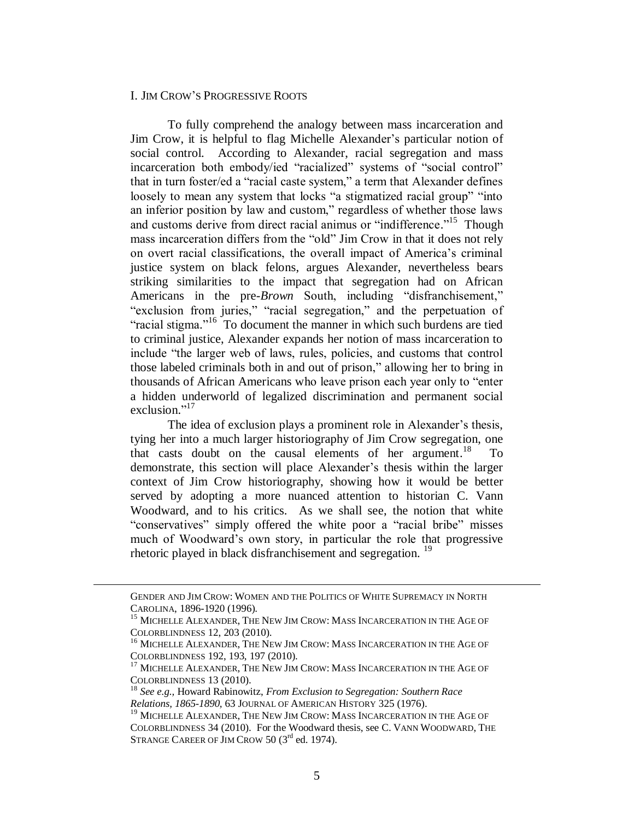## I. JIM CROW'S PROGRESSIVE ROOTS

To fully comprehend the analogy between mass incarceration and Jim Crow, it is helpful to flag Michelle Alexander's particular notion of social control. According to Alexander, racial segregation and mass incarceration both embody/ied "racialized" systems of "social control" that in turn foster/ed a "racial caste system," a term that Alexander defines loosely to mean any system that locks "a stigmatized racial group" "into an inferior position by law and custom," regardless of whether those laws and customs derive from direct racial animus or "indifference."<sup>15</sup> Though mass incarceration differs from the "old" Jim Crow in that it does not rely on overt racial classifications, the overall impact of America's criminal justice system on black felons, argues Alexander, nevertheless bears striking similarities to the impact that segregation had on African Americans in the pre-*Brown* South, including "disfranchisement," "exclusion from juries," "racial segregation," and the perpetuation of "racial stigma."<sup>16</sup> To document the manner in which such burdens are tied to criminal justice, Alexander expands her notion of mass incarceration to include "the larger web of laws, rules, policies, and customs that control those labeled criminals both in and out of prison," allowing her to bring in thousands of African Americans who leave prison each year only to "enter a hidden underworld of legalized discrimination and permanent social exclusion."<sup>17</sup>

The idea of exclusion plays a prominent role in Alexander's thesis, tying her into a much larger historiography of Jim Crow segregation, one that casts doubt on the causal elements of her argument. 18 To demonstrate, this section will place Alexander's thesis within the larger context of Jim Crow historiography, showing how it would be better served by adopting a more nuanced attention to historian C. Vann Woodward, and to his critics. As we shall see, the notion that white "conservatives" simply offered the white poor a "racial bribe" misses much of Woodward's own story, in particular the role that progressive rhetoric played in black disfranchisement and segregation.<sup>19</sup>

GENDER AND JIM CROW: WOMEN AND THE POLITICS OF WHITE SUPREMACY IN NORTH CAROLINA, 1896-1920 (1996).

 $^{15}$  MICHELLE ALEXANDER, THE NEW JIM CROW: MASS INCARCERATION IN THE AGE OF COLORBLINDNESS 12, 203 (2010).

 $^{16}$  MICHELLE ALEXANDER, THE NEW JIM CROW: MASS INCARCERATION IN THE AGE OF COLORBLINDNESS 192, 193, 197 (2010).

<sup>&</sup>lt;sup>17</sup> MICHELLE ALEXANDER, THE NEW JIM CROW: MASS INCARCERATION IN THE AGE OF COLORBLINDNESS 13 (2010).

<sup>18</sup> *See e.g.,* Howard Rabinowitz, *From Exclusion to Segregation: Southern Race Relations, 1865-1890,* 63 JOURNAL OF AMERICAN HISTORY 325 (1976).

<sup>&</sup>lt;sup>19</sup> MICHELLE ALEXANDER, THE NEW JIM CROW: MASS INCARCERATION IN THE AGE OF COLORBLINDNESS 34 (2010). For the Woodward thesis, see C. VANN WOODWARD, THE STRANGE CAREER OF JIM CROW 50 (3<sup>rd</sup> ed. 1974).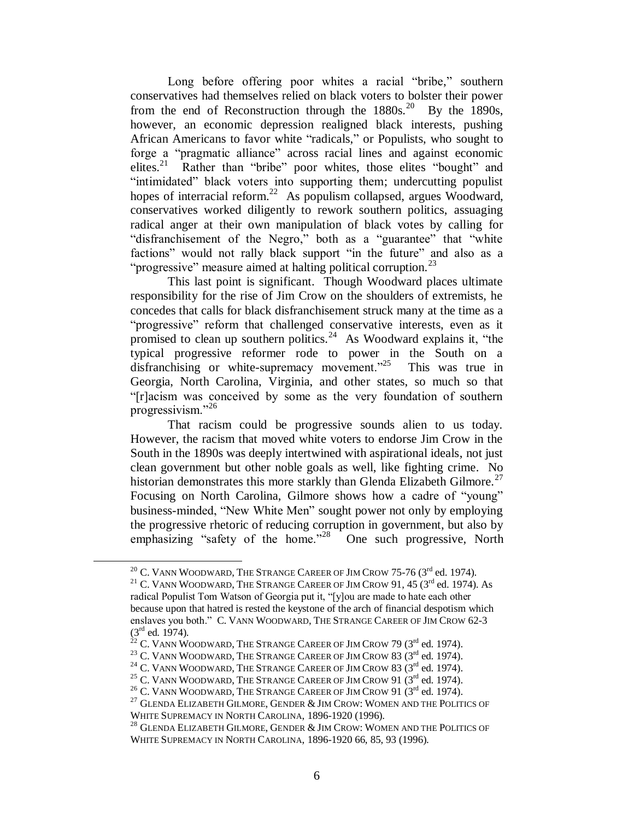Long before offering poor whites a racial "bribe," southern conservatives had themselves relied on black voters to bolster their power from the end of Reconstruction through the  $1880s$ .<sup>20</sup> By the 1890s, however, an economic depression realigned black interests, pushing African Americans to favor white "radicals," or Populists, who sought to forge a "pragmatic alliance" across racial lines and against economic elites.<sup>21</sup> Rather than "bribe" poor whites, those elites "bought" and "intimidated" black voters into supporting them; undercutting populist hopes of interracial reform.<sup>22</sup> As populism collapsed, argues Woodward, conservatives worked diligently to rework southern politics, assuaging radical anger at their own manipulation of black votes by calling for "disfranchisement of the Negro," both as a "guarantee" that "white factions" would not rally black support "in the future" and also as a "progressive" measure aimed at halting political corruption. $^{23}$ 

This last point is significant. Though Woodward places ultimate responsibility for the rise of Jim Crow on the shoulders of extremists, he concedes that calls for black disfranchisement struck many at the time as a "progressive" reform that challenged conservative interests, even as it promised to clean up southern politics.<sup>24</sup> As Woodward explains it, "the typical progressive reformer rode to power in the South on a disfranchising or white-supremacy movement."<sup>25</sup> This was true in Georgia, North Carolina, Virginia, and other states, so much so that "[r]acism was conceived by some as the very foundation of southern progressivism."<sup>26</sup>

That racism could be progressive sounds alien to us today. However, the racism that moved white voters to endorse Jim Crow in the South in the 1890s was deeply intertwined with aspirational ideals, not just clean government but other noble goals as well, like fighting crime. No historian demonstrates this more starkly than Glenda Elizabeth Gilmore.<sup>27</sup> Focusing on North Carolina, Gilmore shows how a cadre of "young" business-minded, "New White Men" sought power not only by employing the progressive rhetoric of reducing corruption in government, but also by emphasizing "safety of the home."<sup>28</sup> One such progressive, North

 $^{20}$  C. VANN WOODWARD, THE STRANGE CAREER OF JIM CROW 75-76 (3<sup>rd</sup> ed. 1974).

<sup>&</sup>lt;sup>21</sup> C. VANN WOODWARD, THE STRANGE CAREER OF JIM CROW 91, 45 ( $3<sup>rd</sup>$  ed. 1974). As radical Populist Tom Watson of Georgia put it, "[y]ou are made to hate each other because upon that hatred is rested the keystone of the arch of financial despotism which enslaves you both." C. VANN WOODWARD, THE STRANGE CAREER OF JIM CROW 62-3  $(3^{rd}$  ed. 1974).

 $^{22}$  C. Vann Woodward, The Strange Career of Jim Crow 79 (3 $^{\rm rd}$  ed. 1974).

<sup>&</sup>lt;sup>23</sup> C. VANN WOODWARD, THE STRANGE CAREER OF JIM CROW 83  $(3<sup>rd</sup>$  ed. 1974).

<sup>&</sup>lt;sup>24</sup> C. VANN WOODWARD, THE STRANGE CAREER OF JIM CROW 83 ( $3<sup>rd</sup>$  ed. 1974).

<sup>&</sup>lt;sup>25</sup> C. VANN WOODWARD, THE STRANGE CAREER OF JIM CROW 91  $(3^{\text{rd}}$  ed. 1974).

<sup>&</sup>lt;sup>26</sup> C. VANN WOODWARD, THE STRANGE CAREER OF JIM CROW 91 ( $3<sup>rd</sup>$  ed. 1974).

 $^{27}$  GLENDA ELIZABETH GILMORE, GENDER  $\&$  JIM CROW: WOMEN AND THE POLITICS OF WHITE SUPREMACY IN NORTH CAROLINA, 1896-1920 (1996).

 $^{28}$  GLENDA ELIZABETH GILMORE, GENDER  $\&$  JIM Crow: Women and the Politics of WHITE SUPREMACY IN NORTH CAROLINA, 1896-1920 66, 85, 93 (1996).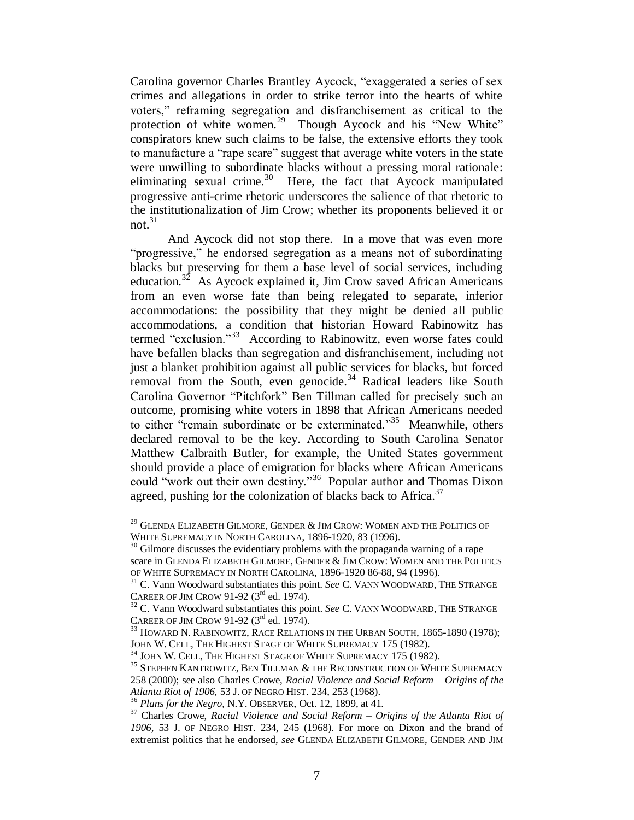Carolina governor Charles Brantley Aycock, "exaggerated a series of sex crimes and allegations in order to strike terror into the hearts of white voters," reframing segregation and disfranchisement as critical to the protection of white women.<sup>29</sup> Though Aycock and his "New White" conspirators knew such claims to be false, the extensive efforts they took to manufacture a "rape scare" suggest that average white voters in the state were unwilling to subordinate blacks without a pressing moral rationale: eliminating sexual crime.<sup>30</sup> Here, the fact that Aycock manipulated progressive anti-crime rhetoric underscores the salience of that rhetoric to the institutionalization of Jim Crow; whether its proponents believed it or not $^{31}$ 

And Aycock did not stop there. In a move that was even more "progressive," he endorsed segregation as a means not of subordinating blacks but preserving for them a base level of social services, including education.<sup>32</sup> As Aycock explained it, Jim Crow saved African Americans from an even worse fate than being relegated to separate, inferior accommodations: the possibility that they might be denied all public accommodations, a condition that historian Howard Rabinowitz has termed "exclusion."<sup>33</sup> According to Rabinowitz, even worse fates could have befallen blacks than segregation and disfranchisement, including not just a blanket prohibition against all public services for blacks, but forced removal from the South, even genocide.<sup>34</sup> Radical leaders like South Carolina Governor "Pitchfork" Ben Tillman called for precisely such an outcome, promising white voters in 1898 that African Americans needed to either "remain subordinate or be exterminated."<sup>35</sup> Meanwhile, others declared removal to be the key. According to South Carolina Senator Matthew Calbraith Butler, for example, the United States government should provide a place of emigration for blacks where African Americans could "work out their own destiny."<sup>36</sup> Popular author and Thomas Dixon agreed, pushing for the colonization of blacks back to Africa.<sup>37</sup>

 $^{29}$  GLENDA ELIZABETH GILMORE, GENDER  $\&$  JIM CROW: WOMEN AND THE POLITICS OF WHITE SUPREMACY IN NORTH CAROLINA, 1896-1920, 83 (1996).

 $30$  Gilmore discusses the evidentiary problems with the propaganda warning of a rape scare in GLENDA ELIZABETH GILMORE, GENDER & JIM CROW: WOMEN AND THE POLITICS OF WHITE SUPREMACY IN NORTH CAROLINA, 1896-1920 86-88, 94 (1996).

<sup>&</sup>lt;sup>31</sup> C. Vann Woodward substantiates this point. *See* C. VANN WOODWARD, THE STRANGE CAREER OF JIM CROW 91-92 ( $3<sup>rd</sup>$  ed. 1974).

<sup>&</sup>lt;sup>32</sup> C. Vann Woodward substantiates this point. *See* C. VANN WOODWARD, THE STRANGE CAREER OF JIM CROW 91-92  $(3<sup>rd</sup>$  ed. 1974).

 $33$  Howard N. Rabinowitz, Race Relations in the Urban South, 1865-1890 (1978); JOHN W. CELL, THE HIGHEST STAGE OF WHITE SUPREMACY 175 (1982).

<sup>&</sup>lt;sup>34</sup> JOHN W. CELL, THE HIGHEST STAGE OF WHITE SUPREMACY 175 (1982).

<sup>&</sup>lt;sup>35</sup> STEPHEN KANTROWITZ, BEN TILLMAN & THE RECONSTRUCTION OF WHITE SUPREMACY 258 (2000); see also Charles Crowe, *Racial Violence and Social Reform – Origins of the Atlanta Riot of 1906,* 53 J. OF NEGRO HIST. 234, 253 (1968).

<sup>36</sup> *Plans for the Negro,* N.Y. OBSERVER, Oct. 12, 1899, at 41.

<sup>37</sup> Charles Crowe, *Racial Violence and Social Reform – Origins of the Atlanta Riot of 1906,* 53 J. OF NEGRO HIST. 234, 245 (1968). For more on Dixon and the brand of extremist politics that he endorsed, *see* GLENDA ELIZABETH GILMORE, GENDER AND JIM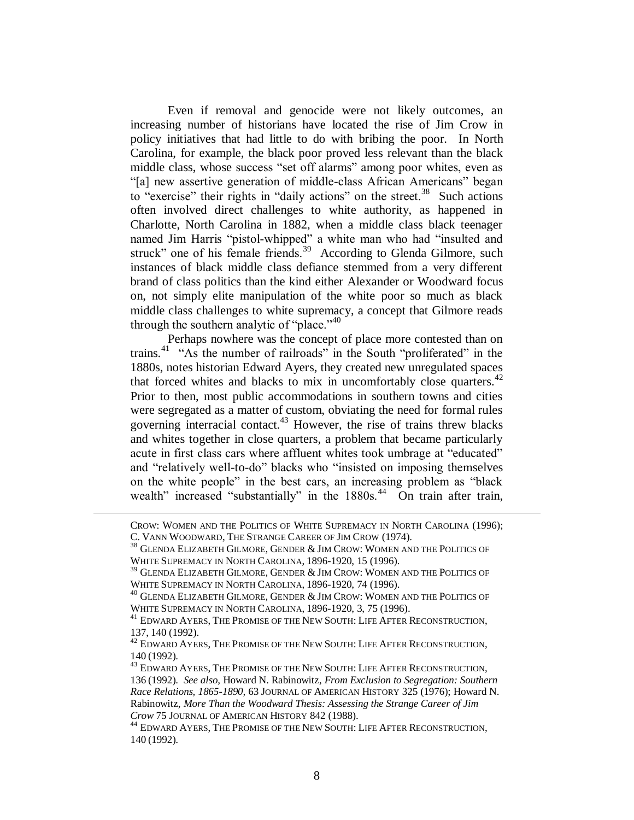Even if removal and genocide were not likely outcomes, an increasing number of historians have located the rise of Jim Crow in policy initiatives that had little to do with bribing the poor. In North Carolina, for example, the black poor proved less relevant than the black middle class, whose success "set off alarms" among poor whites, even as "[a] new assertive generation of middle-class African Americans" began to "exercise" their rights in "daily actions" on the street.<sup>38</sup> Such actions often involved direct challenges to white authority, as happened in Charlotte, North Carolina in 1882, when a middle class black teenager named Jim Harris "pistol-whipped" a white man who had "insulted and struck" one of his female friends.<sup>39</sup> According to Glenda Gilmore, such instances of black middle class defiance stemmed from a very different brand of class politics than the kind either Alexander or Woodward focus on, not simply elite manipulation of the white poor so much as black middle class challenges to white supremacy, a concept that Gilmore reads through the southern analytic of "place."<sup>40</sup>

Perhaps nowhere was the concept of place more contested than on trains.<sup>41</sup> "As the number of railroads" in the South "proliferated" in the 1880s, notes historian Edward Ayers, they created new unregulated spaces that forced whites and blacks to mix in uncomfortably close quarters.<sup>42</sup> Prior to then, most public accommodations in southern towns and cities were segregated as a matter of custom, obviating the need for formal rules governing interracial contact. $43$  However, the rise of trains threw blacks and whites together in close quarters, a problem that became particularly acute in first class cars where affluent whites took umbrage at "educated" and "relatively well-to-do" blacks who "insisted on imposing themselves on the white people" in the best cars, an increasing problem as "black wealth" increased "substantially" in the 1880s.<sup>44</sup> On train after train,

CROW: WOMEN AND THE POLITICS OF WHITE SUPREMACY IN NORTH CAROLINA (1996); C. VANN WOODWARD, THE STRANGE CAREER OF JIM CROW (1974).

 $^{38}$  GLENDA ELIZABETH GILMORE, GENDER  $\&$  JIM CROW: WOMEN AND THE POLITICS OF WHITE SUPREMACY IN NORTH CAROLINA, 1896-1920, 15 (1996).

 $^{39}$  GLENDA ELIZABETH GILMORE, GENDER  $\&$  JIM CROW: WOMEN AND THE POLITICS OF WHITE SUPREMACY IN NORTH CAROLINA, 1896-1920, 74 (1996).

 $^{40}$  GLENDA ELIZABETH GILMORE, GENDER  $\&$  JIM CROW: WOMEN AND THE POLITICS OF WHITE SUPREMACY IN NORTH CAROLINA, 1896-1920, 3, 75 (1996).

 $^{41}$  EDWARD AYERS, THE PROMISE OF THE NEW SOUTH: LIFE AFTER RECONSTRUCTION, 137, 140 (1992).

<sup>&</sup>lt;sup>42</sup> EDWARD AYERS, THE PROMISE OF THE NEW SOUTH: LIFE AFTER RECONSTRUCTION, 140 (1992).

 $^{43}$  EDWARD AYERS, THE PROMISE OF THE NEW SOUTH: LIFE AFTER RECONSTRUCTION, 136 (1992). *See also,* Howard N. Rabinowitz, *From Exclusion to Segregation: Southern Race Relations, 1865-1890,* 63 JOURNAL OF AMERICAN HISTORY 325 (1976); Howard N. Rabinowitz, *More Than the Woodward Thesis: Assessing the Strange Career of Jim Crow* 75 JOURNAL OF AMERICAN HISTORY 842 (1988).

 $^{44}$  EDWARD AYERS, THE PROMISE OF THE NEW SOUTH: LIFE AFTER RECONSTRUCTION, 140 (1992).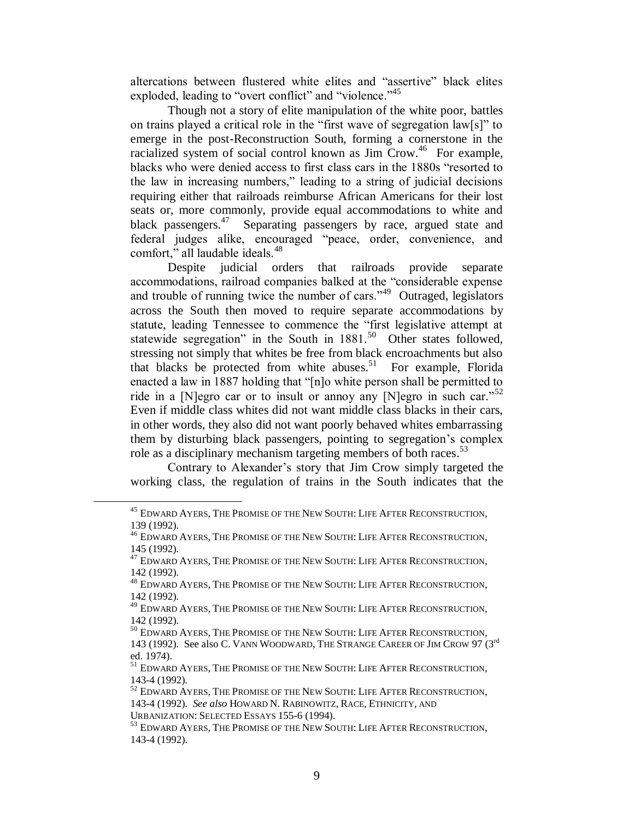altercations between flustered white elites and "assertive" black elites exploded, leading to "overt conflict" and "violence."<sup>45</sup>

Though not a story of elite manipulation of the white poor, battles on trains played a critical role in the "first wave of segregation law[s]" to emerge in the post-Reconstruction South, forming a cornerstone in the racialized system of social control known as Jim Crow.<sup>46</sup> For example, blacks who were denied access to first class cars in the 1880s "resorted to the law in increasing numbers," leading to a string of judicial decisions requiring either that railroads reimburse African Americans for their lost seats or, more commonly, provide equal accommodations to white and black passengers.<sup>47</sup> Separating passengers by race, argued state and federal judges alike, encouraged "peace, order, convenience, and comfort," all laudable ideals.<sup>48</sup>

Despite judicial orders that railroads provide separate accommodations, railroad companies balked at the "considerable expense and trouble of running twice the number of cars."<sup>49</sup> Outraged, legislators across the South then moved to require separate accommodations by statute, leading Tennessee to commence the "first legislative attempt at statewide segregation" in the South in  $1881$ .<sup>50</sup> Other states followed, stressing not simply that whites be free from black encroachments but also that blacks be protected from white abuses.<sup>51</sup> For example, Florida enacted a law in 1887 holding that "[n]o white person shall be permitted to ride in a [N]egro car or to insult or annoy any [N]egro in such car."<sup>52</sup> Even if middle class whites did not want middle class blacks in their cars, in other words, they also did not want poorly behaved whites embarrassing them by disturbing black passengers, pointing to segregation's complex role as a disciplinary mechanism targeting members of both races. 53

Contrary to Alexander's story that Jim Crow simply targeted the working class, the regulation of trains in the South indicates that the

 $^{45}$  EDWARD AYERS, THE PROMISE OF THE NEW SOUTH: LIFE AFTER RECONSTRUCTION, 139 (1992).

<sup>46</sup> EDWARD AYERS, THE PROMISE OF THE NEW SOUTH: LIFE AFTER RECONSTRUCTION, 145 (1992).

 $^{47}$  EDWARD AYERS, THE PROMISE OF THE NEW SOUTH: LIFE AFTER RECONSTRUCTION, 142 (1992).

<sup>&</sup>lt;sup>48</sup> EDWARD AYERS, THE PROMISE OF THE NEW SOUTH: LIFE AFTER RECONSTRUCTION, 142 (1992).

<sup>&</sup>lt;sup>49</sup> EDWARD AYERS, THE PROMISE OF THE NEW SOUTH: LIFE AFTER RECONSTRUCTION, 142 (1992).

<sup>50</sup> EDWARD AYERS, THE PROMISE OF THE NEW SOUTH: LIFE AFTER RECONSTRUCTION, 143 (1992). See also C. VANN WOODWARD, THE STRANGE CAREER OF JIM CROW 97 (3rd ed. 1974).

<sup>&</sup>lt;sup>51</sup> EDWARD AYERS, THE PROMISE OF THE NEW SOUTH: LIFE AFTER RECONSTRUCTION, 143-4 (1992).

<sup>&</sup>lt;sup>52</sup> EDWARD AYERS, THE PROMISE OF THE NEW SOUTH: LIFE AFTER RECONSTRUCTION, 143-4 (1992). *See also* HOWARD N. RABINOWITZ, RACE, ETHNICITY, AND

URBANIZATION: SELECTED ESSAYS 155-6 (1994).

<sup>53</sup> EDWARD AYERS, THE PROMISE OF THE NEW SOUTH: LIFE AFTER RECONSTRUCTION, 143-4 (1992).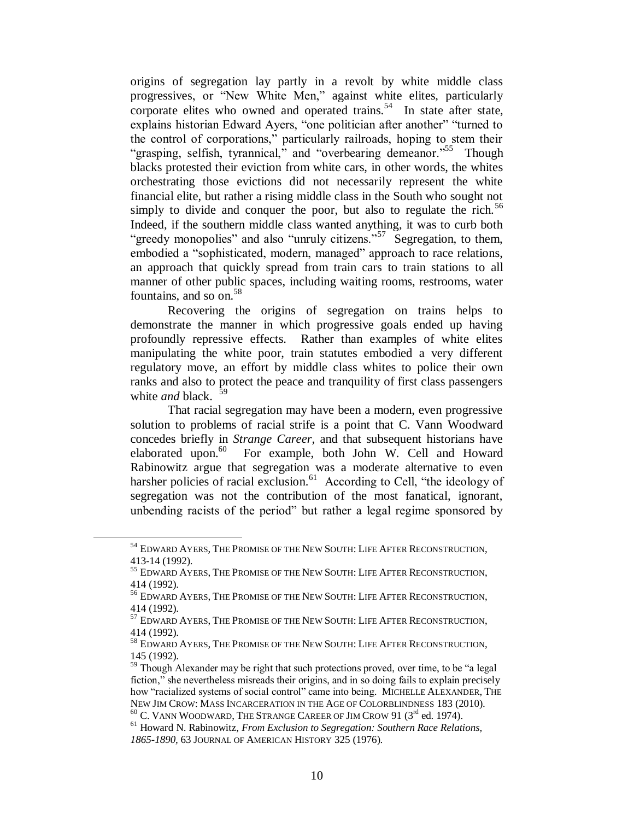origins of segregation lay partly in a revolt by white middle class progressives, or "New White Men," against white elites, particularly corporate elites who owned and operated trains.<sup>54</sup> In state after state, explains historian Edward Ayers, "one politician after another" "turned to the control of corporations," particularly railroads, hoping to stem their "grasping, selfish, tyrannical," and "overbearing demeanor."<sup>55</sup> Though blacks protested their eviction from white cars, in other words, the whites orchestrating those evictions did not necessarily represent the white financial elite, but rather a rising middle class in the South who sought not simply to divide and conquer the poor, but also to regulate the rich.<sup>56</sup> Indeed, if the southern middle class wanted anything, it was to curb both "greedy monopolies" and also "unruly citizens."<sup>57</sup> Segregation, to them, embodied a "sophisticated, modern, managed" approach to race relations, an approach that quickly spread from train cars to train stations to all manner of other public spaces, including waiting rooms, restrooms, water fountains, and so on.  $58$ 

Recovering the origins of segregation on trains helps to demonstrate the manner in which progressive goals ended up having profoundly repressive effects. Rather than examples of white elites manipulating the white poor, train statutes embodied a very different regulatory move, an effort by middle class whites to police their own ranks and also to protect the peace and tranquility of first class passengers white *and* black. 59

That racial segregation may have been a modern, even progressive solution to problems of racial strife is a point that C. Vann Woodward concedes briefly in *Strange Career,* and that subsequent historians have elaborated upon.<sup>60</sup> For example, both John W. Cell and Howard Rabinowitz argue that segregation was a moderate alternative to even harsher policies of racial exclusion.<sup>61</sup> According to Cell, "the ideology of segregation was not the contribution of the most fanatical, ignorant, unbending racists of the period" but rather a legal regime sponsored by

<sup>&</sup>lt;sup>54</sup> EDWARD AYERS, THE PROMISE OF THE NEW SOUTH: LIFE AFTER RECONSTRUCTION, 413-14 (1992).

<sup>&</sup>lt;sup>55</sup> EDWARD AYERS, THE PROMISE OF THE NEW SOUTH: LIFE AFTER RECONSTRUCTION, 414 (1992).

<sup>56</sup> EDWARD AYERS, THE PROMISE OF THE NEW SOUTH: LIFE AFTER RECONSTRUCTION, 414 (1992).

<sup>57</sup> EDWARD AYERS, THE PROMISE OF THE NEW SOUTH: LIFE AFTER RECONSTRUCTION, 414 (1992).

<sup>58</sup> EDWARD AYERS, THE PROMISE OF THE NEW SOUTH: LIFE AFTER RECONSTRUCTION, 145 (1992).

<sup>&</sup>lt;sup>59</sup> Though Alexander may be right that such protections proved, over time, to be "a legal" fiction," she nevertheless misreads their origins, and in so doing fails to explain precisely how "racialized systems of social control" came into being. MICHELLE ALEXANDER, THE NEW JIM CROW: MASS INCARCERATION IN THE AGE OF COLORBLINDNESS 183 (2010).  $60$  C. VANN WOODWARD, THE STRANGE CAREER OF JIM CROW 91 ( $3<sup>rd</sup>$  ed. 1974).

<sup>61</sup> Howard N. Rabinowitz, *From Exclusion to Segregation: Southern Race Relations, 1865-1890,* 63 JOURNAL OF AMERICAN HISTORY 325 (1976).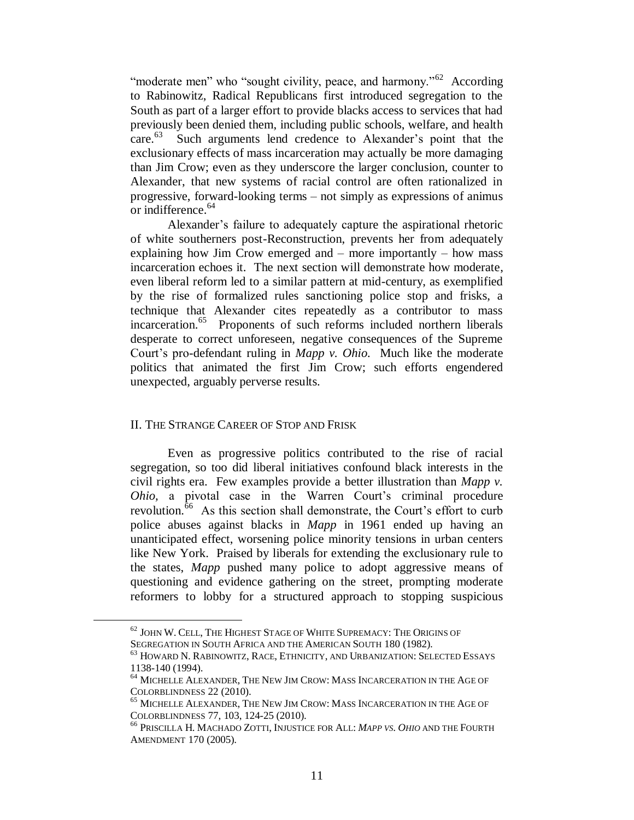"moderate men" who "sought civility, peace, and harmony."<sup>62</sup> According to Rabinowitz, Radical Republicans first introduced segregation to the South as part of a larger effort to provide blacks access to services that had previously been denied them, including public schools, welfare, and health care.<sup>63</sup> Such arguments lend credence to Alexander's point that the exclusionary effects of mass incarceration may actually be more damaging than Jim Crow; even as they underscore the larger conclusion, counter to Alexander, that new systems of racial control are often rationalized in progressive, forward-looking terms – not simply as expressions of animus or indifference. 64

Alexander's failure to adequately capture the aspirational rhetoric of white southerners post-Reconstruction, prevents her from adequately explaining how Jim Crow emerged and – more importantly – how mass incarceration echoes it. The next section will demonstrate how moderate, even liberal reform led to a similar pattern at mid-century, as exemplified by the rise of formalized rules sanctioning police stop and frisks, a technique that Alexander cites repeatedly as a contributor to mass incarceration.<sup>65</sup> Proponents of such reforms included northern liberals desperate to correct unforeseen, negative consequences of the Supreme Court's pro-defendant ruling in *Mapp v. Ohio.* Much like the moderate politics that animated the first Jim Crow; such efforts engendered unexpected, arguably perverse results.

## II. THE STRANGE CAREER OF STOP AND FRISK

 $\overline{a}$ 

Even as progressive politics contributed to the rise of racial segregation, so too did liberal initiatives confound black interests in the civil rights era. Few examples provide a better illustration than *Mapp v. Ohio,* a pivotal case in the Warren Court's criminal procedure revolution.<sup>66</sup> As this section shall demonstrate, the Court's effort to curb police abuses against blacks in *Mapp* in 1961 ended up having an unanticipated effect, worsening police minority tensions in urban centers like New York. Praised by liberals for extending the exclusionary rule to the states, *Mapp* pushed many police to adopt aggressive means of questioning and evidence gathering on the street, prompting moderate reformers to lobby for a structured approach to stopping suspicious

<sup>&</sup>lt;sup>62</sup> JOHN W. CELL, THE HIGHEST STAGE OF WHITE SUPREMACY: THE ORIGINS OF SEGREGATION IN SOUTH AFRICA AND THE AMERICAN SOUTH 180 (1982).

<sup>63</sup> HOWARD N. RABINOWITZ, RACE, ETHNICITY, AND URBANIZATION: SELECTED ESSAYS 1138-140 (1994).

<sup>64</sup> MICHELLE ALEXANDER, THE NEW JIM CROW: MASS INCARCERATION IN THE AGE OF COLORBLINDNESS 22 (2010).

<sup>65</sup> MICHELLE ALEXANDER, THE NEW JIM CROW: MASS INCARCERATION IN THE AGE OF COLORBLINDNESS 77, 103, 124-25 (2010).

<sup>66</sup> PRISCILLA H. MACHADO ZOTTI, INJUSTICE FOR ALL: *MAPP VS. OHIO* AND THE FOURTH AMENDMENT 170 (2005).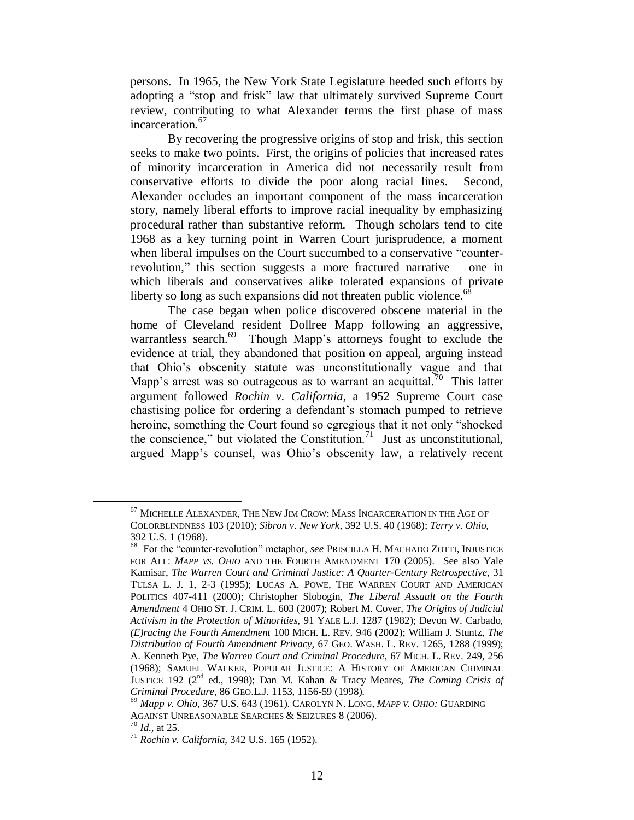persons. In 1965, the New York State Legislature heeded such efforts by adopting a "stop and frisk" law that ultimately survived Supreme Court review, contributing to what Alexander terms the first phase of mass incarceration*.* 67

By recovering the progressive origins of stop and frisk, this section seeks to make two points. First, the origins of policies that increased rates of minority incarceration in America did not necessarily result from conservative efforts to divide the poor along racial lines. Second, Alexander occludes an important component of the mass incarceration story, namely liberal efforts to improve racial inequality by emphasizing procedural rather than substantive reform. Though scholars tend to cite 1968 as a key turning point in Warren Court jurisprudence, a moment when liberal impulses on the Court succumbed to a conservative "counterrevolution," this section suggests a more fractured narrative – one in which liberals and conservatives alike tolerated expansions of private liberty so long as such expansions did not threaten public violence.  $68$ 

The case began when police discovered obscene material in the home of Cleveland resident Dollree Mapp following an aggressive, warrantless search.<sup>69</sup> Though Mapp's attorneys fought to exclude the evidence at trial, they abandoned that position on appeal, arguing instead that Ohio's obscenity statute was unconstitutionally vague and that Mapp's arrest was so outrageous as to warrant an acquittal.<sup>70</sup> This latter argument followed *Rochin v. California,* a 1952 Supreme Court case chastising police for ordering a defendant's stomach pumped to retrieve heroine, something the Court found so egregious that it not only "shocked the conscience," but violated the Constitution.<sup>71</sup> Just as unconstitutional, argued Mapp's counsel, was Ohio's obscenity law, a relatively recent

<sup>67</sup> MICHELLE ALEXANDER, THE NEW JIM CROW: MASS INCARCERATION IN THE AGE OF COLORBLINDNESS 103 (2010); *Sibron v. New York,* 392 U.S. 40 (1968); *Terry v. Ohio,* 392 U.S. 1 (1968).

<sup>68</sup> For the "counter-revolution" metaphor, *see* PRISCILLA H. MACHADO ZOTTI, INJUSTICE FOR ALL: *MAPP VS. OHIO* AND THE FOURTH AMENDMENT 170 (2005). See also Yale Kamisar, *The Warren Court and Criminal Justice: A Quarter-Century Retrospective,* 31 TULSA L. J. 1, 2-3 (1995); LUCAS A. POWE, THE WARREN COURT AND AMERICAN POLITICS 407-411 (2000); Christopher Slobogin, *The Liberal Assault on the Fourth Amendment* 4 OHIO ST. J. CRIM. L. 603 (2007); Robert M. Cover, *The Origins of Judicial Activism in the Protection of Minorities,* 91 YALE L.J. 1287 (1982); Devon W. Carbado, *(E)racing the Fourth Amendment* 100 MICH. L. REV. 946 (2002); William J. Stuntz, *The Distribution of Fourth Amendment Privacy,* 67 GEO. WASH. L. REV. 1265, 1288 (1999); A. Kenneth Pye, *The Warren Court and Criminal Procedure,* 67 MICH. L. REV. 249, 256 (1968); SAMUEL WALKER, POPULAR JUSTICE: A HISTORY OF AMERICAN CRIMINAL JUSTICE 192 (2nd ed., 1998); Dan M. Kahan & Tracy Meares, *The Coming Crisis of Criminal Procedure,* 86 GEO.L.J. 1153, 1156-59 (1998).

<sup>69</sup> *Mapp v. Ohio,* 367 U.S. 643 (1961). CAROLYN N. LONG, *MAPP V. OHIO:* GUARDING AGAINST UNREASONABLE SEARCHES & SEIZURES 8 (2006).

<sup>70</sup> *Id.,* at 25.

<sup>71</sup> *Rochin v. California,* 342 U.S. 165 (1952).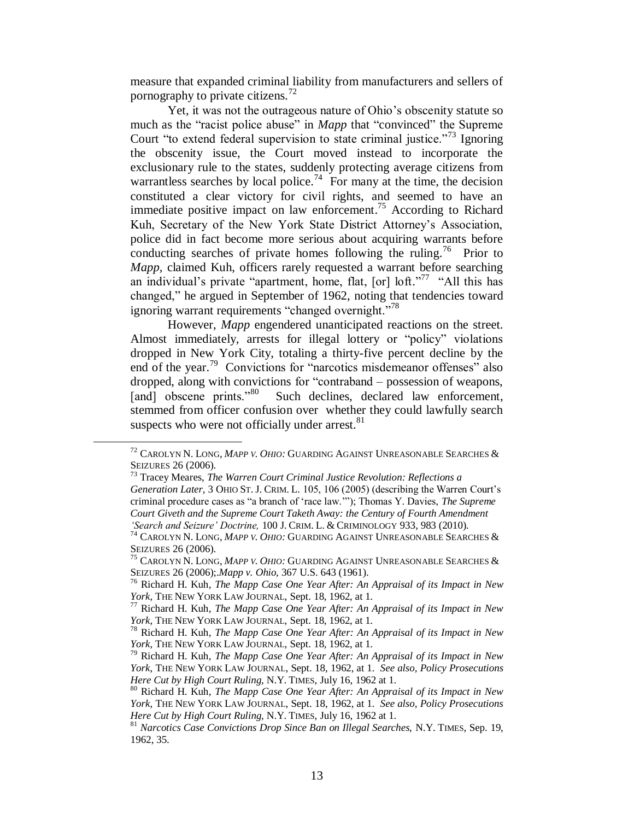measure that expanded criminal liability from manufacturers and sellers of pornography to private citizens.<sup>72</sup>

Yet, it was not the outrageous nature of Ohio's obscenity statute so much as the "racist police abuse" in *Mapp* that "convinced" the Supreme Court "to extend federal supervision to state criminal justice."<sup>73</sup> Ignoring the obscenity issue, the Court moved instead to incorporate the exclusionary rule to the states, suddenly protecting average citizens from warrantless searches by local police.<sup>74</sup> For many at the time, the decision constituted a clear victory for civil rights, and seemed to have an immediate positive impact on law enforcement.<sup>75</sup> According to Richard Kuh, Secretary of the New York State District Attorney's Association, police did in fact become more serious about acquiring warrants before conducting searches of private homes following the ruling.<sup>76</sup> Prior to *Mapp,* claimed Kuh, officers rarely requested a warrant before searching an individual's private "apartment, home, flat,  $[or]$   $\mathrm{lnft.}$ "<sup>77</sup> "All this has changed," he argued in September of 1962, noting that tendencies toward ignoring warrant requirements "changed overnight."<sup>78</sup>

However, *Mapp* engendered unanticipated reactions on the street. Almost immediately, arrests for illegal lottery or "policy" violations dropped in New York City, totaling a thirty-five percent decline by the end of the year.<sup>79</sup> Convictions for "narcotics misdemeanor offenses" also dropped, along with convictions for "contraband – possession of weapons, [and] obscene prints."<sup>80</sup> Such declines, declared law enforcement, stemmed from officer confusion over whether they could lawfully search suspects who were not officially under arrest.<sup>81</sup>

<sup>72</sup> CAROLYN N. LONG, *MAPP V. OHIO:* GUARDING AGAINST UNREASONABLE SEARCHES & SEIZURES 26 (2006).

<sup>73</sup> Tracey Meares, *The Warren Court Criminal Justice Revolution: Reflections a* 

*Generation Later,* 3 OHIO ST. J. CRIM. L. 105, 106 (2005) (describing the Warren Court's criminal procedure cases as "a branch of 'race law.'"); Thomas Y. Davies, *The Supreme Court Giveth and the Supreme Court Taketh Away: the Century of Fourth Amendment 'Search and Seizure' Doctrine,* 100 J. CRIM. L. & CRIMINOLOGY 933, 983 (2010).

<sup>74</sup> CAROLYN N. LONG, *MAPP V. OHIO:* GUARDING AGAINST UNREASONABLE SEARCHES & SEIZURES 26 (2006).

<sup>75</sup> CAROLYN N. LONG, *MAPP V. OHIO:* GUARDING AGAINST UNREASONABLE SEARCHES & SEIZURES 26 (2006);.*Mapp v. Ohio,* 367 U.S. 643 (1961).

<sup>76</sup> Richard H. Kuh, *The Mapp Case One Year After: An Appraisal of its Impact in New York,* THE NEW YORK LAW JOURNAL, Sept. 18, 1962, at 1.

<sup>77</sup> Richard H. Kuh, *The Mapp Case One Year After: An Appraisal of its Impact in New York,* THE NEW YORK LAW JOURNAL, Sept. 18, 1962, at 1.

<sup>78</sup> Richard H. Kuh, *The Mapp Case One Year After: An Appraisal of its Impact in New York,* THE NEW YORK LAW JOURNAL, Sept. 18, 1962, at 1.

<sup>79</sup> Richard H. Kuh, *The Mapp Case One Year After: An Appraisal of its Impact in New York,* THE NEW YORK LAW JOURNAL, Sept. 18, 1962, at 1. *See also, Policy Prosecutions Here Cut by High Court Ruling,* N.Y. TIMES, July 16, 1962 at 1.

<sup>80</sup> Richard H. Kuh, *The Mapp Case One Year After: An Appraisal of its Impact in New York,* THE NEW YORK LAW JOURNAL, Sept. 18, 1962, at 1. *See also, Policy Prosecutions Here Cut by High Court Ruling,* N.Y. TIMES, July 16, 1962 at 1.

<sup>81</sup> *Narcotics Case Convictions Drop Since Ban on Illegal Searches,* N.Y. TIMES, Sep. 19, 1962, 35.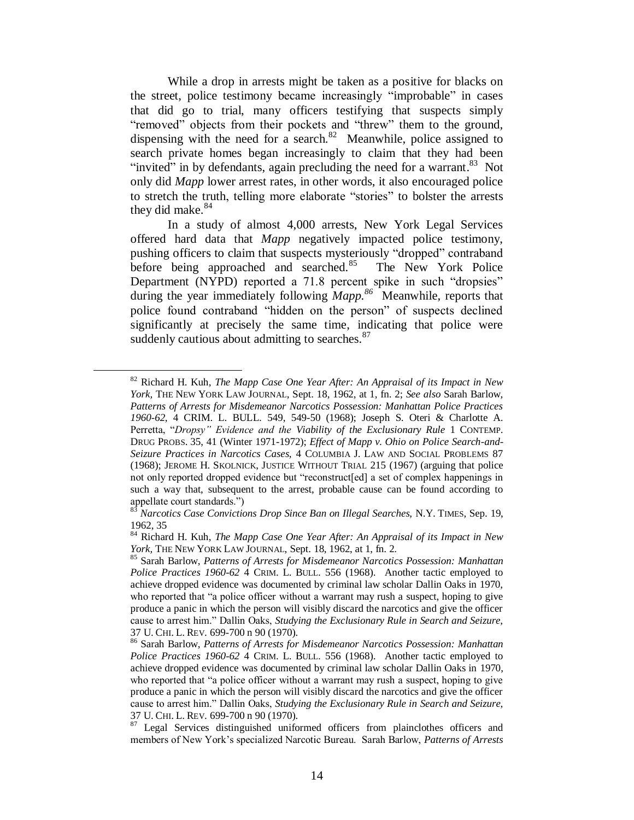While a drop in arrests might be taken as a positive for blacks on the street, police testimony became increasingly "improbable" in cases that did go to trial, many officers testifying that suspects simply "removed" objects from their pockets and "threw" them to the ground, dispensing with the need for a search. $82$  Meanwhile, police assigned to search private homes began increasingly to claim that they had been "invited" in by defendants, again precluding the need for a warrant. $83$  Not only did *Mapp* lower arrest rates, in other words, it also encouraged police to stretch the truth, telling more elaborate "stories" to bolster the arrests they did make.<sup>84</sup>

In a study of almost 4,000 arrests, New York Legal Services offered hard data that *Mapp* negatively impacted police testimony, pushing officers to claim that suspects mysteriously "dropped" contraband before being approached and searched.<sup>85</sup> The New York Police Department (NYPD) reported a 71.8 percent spike in such "dropsies" during the year immediately following *Mapp.<sup>86</sup>* Meanwhile, reports that police found contraband "hidden on the person" of suspects declined significantly at precisely the same time, indicating that police were suddenly cautious about admitting to searches.<sup>87</sup>

<sup>82</sup> Richard H. Kuh, *The Mapp Case One Year After: An Appraisal of its Impact in New York,* THE NEW YORK LAW JOURNAL, Sept. 18, 1962, at 1, fn. 2; *See also* Sarah Barlow, *Patterns of Arrests for Misdemeanor Narcotics Possession: Manhattan Police Practices 1960-62*, 4 CRIM. L. BULL. 549, 549-50 (1968); Joseph S. Oteri & Charlotte A. Perretta, "*Dropsy" Evidence and the Viability of the Exclusionary Rule* 1 CONTEMP. DRUG PROBS. 35, 41 (Winter 1971-1972); *Effect of Mapp v. Ohio on Police Search-and-Seizure Practices in Narcotics Cases,* 4 COLUMBIA J. LAW AND SOCIAL PROBLEMS 87 (1968); JEROME H. SKOLNICK, JUSTICE WITHOUT TRIAL 215 (1967) (arguing that police not only reported dropped evidence but "reconstruct[ed] a set of complex happenings in such a way that, subsequent to the arrest, probable cause can be found according to appellate court standards.")

<sup>83</sup> *Narcotics Case Convictions Drop Since Ban on Illegal Searches,* N.Y. TIMES, Sep. 19, 1962, 35

<sup>84</sup> Richard H. Kuh, *The Mapp Case One Year After: An Appraisal of its Impact in New York,* THE NEW YORK LAW JOURNAL, Sept. 18, 1962, at 1, fn. 2.

<sup>85</sup> Sarah Barlow, *Patterns of Arrests for Misdemeanor Narcotics Possession: Manhattan Police Practices 1960-62* 4 CRIM. L. BULL. 556 (1968). Another tactic employed to achieve dropped evidence was documented by criminal law scholar Dallin Oaks in 1970, who reported that "a police officer without a warrant may rush a suspect, hoping to give produce a panic in which the person will visibly discard the narcotics and give the officer cause to arrest him." Dallin Oaks, *Studying the Exclusionary Rule in Search and Seizure,* 37 U. CHI. L. REV. 699-700 n 90 (1970).

<sup>86</sup> Sarah Barlow, *Patterns of Arrests for Misdemeanor Narcotics Possession: Manhattan Police Practices 1960-62* 4 CRIM. L. BULL. 556 (1968). Another tactic employed to achieve dropped evidence was documented by criminal law scholar Dallin Oaks in 1970, who reported that "a police officer without a warrant may rush a suspect, hoping to give produce a panic in which the person will visibly discard the narcotics and give the officer cause to arrest him." Dallin Oaks, *Studying the Exclusionary Rule in Search and Seizure,* 37 U. CHI. L. REV. 699-700 n 90 (1970).

<sup>&</sup>lt;sup>87</sup> Legal Services distinguished uniformed officers from plainclothes officers and members of New York's specialized Narcotic Bureau. Sarah Barlow, *Patterns of Arrests*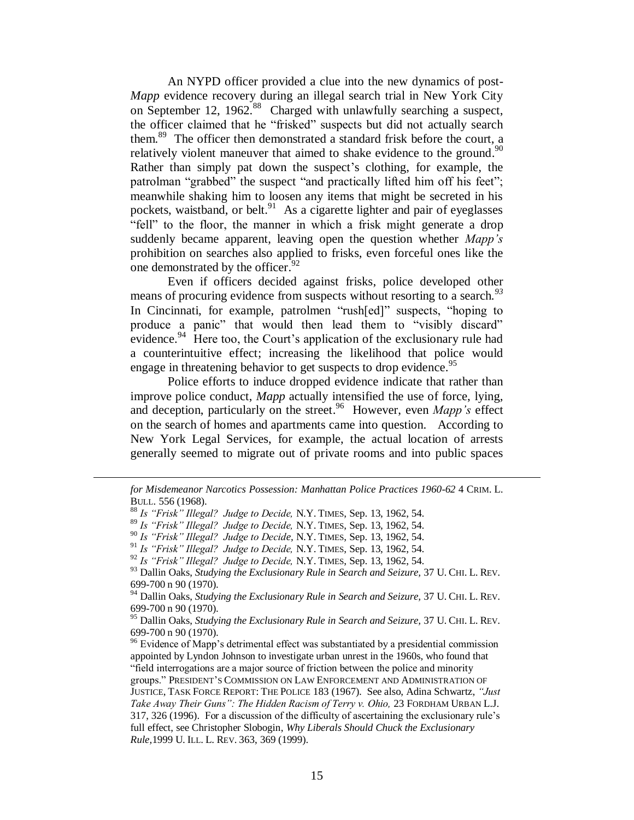An NYPD officer provided a clue into the new dynamics of post-*Mapp* evidence recovery during an illegal search trial in New York City on September 12, 1962.<sup>88</sup> Charged with unlawfully searching a suspect, the officer claimed that he "frisked" suspects but did not actually search them.<sup>89</sup> The officer then demonstrated a standard frisk before the court, a relatively violent maneuver that aimed to shake evidence to the ground.<sup>90</sup> Rather than simply pat down the suspect's clothing, for example, the patrolman "grabbed" the suspect "and practically lifted him off his feet"; meanwhile shaking him to loosen any items that might be secreted in his pockets, waistband, or belt.<sup>91</sup> As a cigarette lighter and pair of eyeglasses "fell" to the floor, the manner in which a frisk might generate a drop suddenly became apparent, leaving open the question whether *Mapp's* prohibition on searches also applied to frisks, even forceful ones like the one demonstrated by the officer.<sup>92</sup>

Even if officers decided against frisks, police developed other means of procuring evidence from suspects without resorting to a search*. 93* In Cincinnati, for example, patrolmen "rush[ed]" suspects, "hoping to produce a panic" that would then lead them to "visibly discard" evidence.<sup>94</sup> Here too, the Court's application of the exclusionary rule had a counterintuitive effect; increasing the likelihood that police would engage in threatening behavior to get suspects to drop evidence.<sup>95</sup>

Police efforts to induce dropped evidence indicate that rather than improve police conduct, *Mapp* actually intensified the use of force, lying, and deception, particularly on the street. <sup>96</sup> However, even *Mapp's* effect on the search of homes and apartments came into question. According to New York Legal Services, for example, the actual location of arrests generally seemed to migrate out of private rooms and into public spaces

*for Misdemeanor Narcotics Possession: Manhattan Police Practices 1960-62* 4 CRIM. L. BULL. 556 (1968).

<sup>88</sup> *Is "Frisk" Illegal? Judge to Decide,* N.Y. TIMES, Sep. 13, 1962, 54.

<sup>89</sup> *Is "Frisk" Illegal? Judge to Decide,* N.Y. TIMES, Sep. 13, 1962, 54.

<sup>90</sup> *Is "Frisk" Illegal? Judge to Decide,* N.Y. TIMES, Sep. 13, 1962, 54.

<sup>91</sup> *Is "Frisk" Illegal? Judge to Decide,* N.Y. TIMES, Sep. 13, 1962, 54.

<sup>92</sup> *Is "Frisk" Illegal? Judge to Decide,* N.Y. TIMES, Sep. 13, 1962, 54.

<sup>93</sup> Dallin Oaks, *Studying the Exclusionary Rule in Search and Seizure,* 37 U. CHI. L. REV. 699-700 n 90 (1970).

<sup>94</sup> Dallin Oaks, *Studying the Exclusionary Rule in Search and Seizure,* 37 U. CHI. L. REV. 699-700 n 90 (1970).

<sup>95</sup> Dallin Oaks, *Studying the Exclusionary Rule in Search and Seizure,* 37 U. CHI. L. REV. 699-700 n 90 (1970).

 $96$  Evidence of Mapp's detrimental effect was substantiated by a presidential commission appointed by Lyndon Johnson to investigate urban unrest in the 1960s, who found that "field interrogations are a major source of friction between the police and minority groups." PRESIDENT'S COMMISSION ON LAW ENFORCEMENT AND ADMINISTRATION OF JUSTICE, TASK FORCE REPORT: THE POLICE 183 (1967). See also, Adina Schwartz, *"Just Take Away Their Guns": The Hidden Racism of Terry v. Ohio,* 23 FORDHAM URBAN L.J. 317, 326 (1996). For a discussion of the difficulty of ascertaining the exclusionary rule's full effect, see Christopher Slobogin, *Why Liberals Should Chuck the Exclusionary Rule,*1999 U. ILL. L. REV. 363, 369 (1999).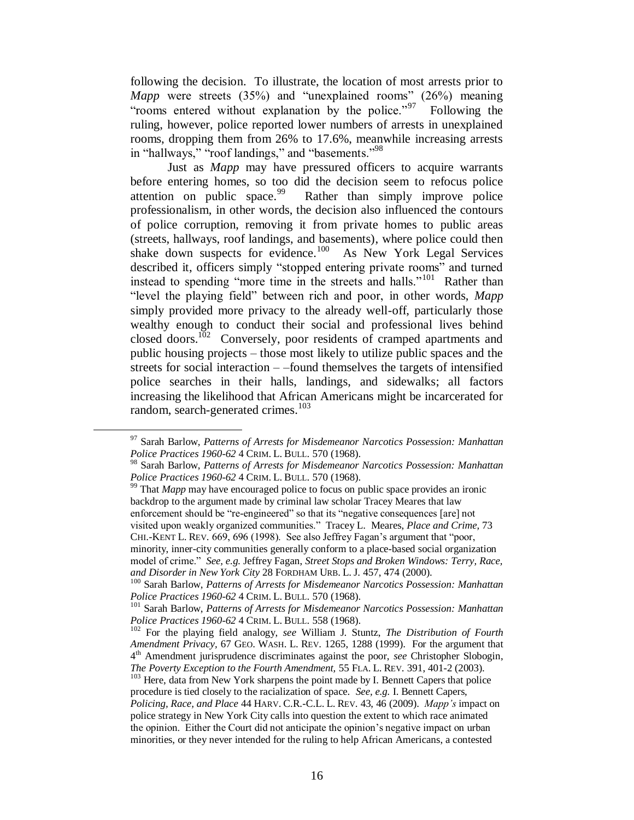following the decision. To illustrate, the location of most arrests prior to *Mapp* were streets (35%) and "unexplained rooms" (26%) meaning "rooms entered without explanation by the police."<sup>97</sup> Following the ruling, however, police reported lower numbers of arrests in unexplained rooms, dropping them from 26% to 17.6%, meanwhile increasing arrests in "hallways," "roof landings," and "basements."<sup>98</sup>

Just as *Mapp* may have pressured officers to acquire warrants before entering homes, so too did the decision seem to refocus police attention on public space.<sup>99</sup> Rather than simply improve police professionalism, in other words, the decision also influenced the contours of police corruption, removing it from private homes to public areas (streets, hallways, roof landings, and basements), where police could then shake down suspects for evidence.<sup>100</sup> As New York Legal Services described it, officers simply "stopped entering private rooms" and turned instead to spending "more time in the streets and halls."<sup>101</sup> Rather than "level the playing field" between rich and poor, in other words, *Mapp* simply provided more privacy to the already well-off, particularly those wealthy enough to conduct their social and professional lives behind closed doors.<sup>102</sup> Conversely, poor residents of cramped apartments and public housing projects – those most likely to utilize public spaces and the streets for social interaction – –found themselves the targets of intensified police searches in their halls, landings, and sidewalks; all factors increasing the likelihood that African Americans might be incarcerated for random, search-generated crimes.<sup>103</sup>

 $\overline{a}$ 

<sup>99</sup> That *Mapp* may have encouraged police to focus on public space provides an ironic backdrop to the argument made by criminal law scholar Tracey Meares that law enforcement should be "re-engineered" so that its "negative consequences [are] not visited upon weakly organized communities." Tracey L. Meares, *Place and Crime,* 73 CHI.-KENT L. REV. 669, 696 (1998). See also Jeffrey Fagan's argument that "poor, minority, inner-city communities generally conform to a place-based social organization model of crime." *See, e.g.* Jeffrey Fagan, *Street Stops and Broken Windows: Terry, Race, and Disorder in New York City* 28 FORDHAM URB. L. J. 457, 474 (2000).

<sup>97</sup> Sarah Barlow, *Patterns of Arrests for Misdemeanor Narcotics Possession: Manhattan Police Practices 1960-62* 4 CRIM. L. BULL. 570 (1968).

<sup>98</sup> Sarah Barlow, *Patterns of Arrests for Misdemeanor Narcotics Possession: Manhattan Police Practices 1960-62* 4 CRIM. L. BULL. 570 (1968).

<sup>100</sup> Sarah Barlow, *Patterns of Arrests for Misdemeanor Narcotics Possession: Manhattan Police Practices 1960-62* 4 CRIM. L. BULL. 570 (1968).

<sup>101</sup> Sarah Barlow, *Patterns of Arrests for Misdemeanor Narcotics Possession: Manhattan Police Practices 1960-62* 4 CRIM. L. BULL. 558 (1968).

<sup>102</sup> For the playing field analogy, *see* William J. Stuntz, *The Distribution of Fourth Amendment Privacy,* 67 GEO. WASH. L. REV. 1265, 1288 (1999). For the argument that 4 th Amendment jurisprudence discriminates against the poor, *see* Christopher Slobogin, *The Poverty Exception to the Fourth Amendment,* 55 FLA. L. REV. 391, 401-2 (2003).

<sup>&</sup>lt;sup>103</sup> Here, data from New York sharpens the point made by I. Bennett Capers that police procedure is tied closely to the racialization of space. *See, e.g.* I. Bennett Capers,

*Policing, Race, and Place* 44 HARV. C.R.-C.L. L. REV. 43, 46 (2009). *Mapp's* impact on police strategy in New York City calls into question the extent to which race animated the opinion. Either the Court did not anticipate the opinion's negative impact on urban minorities, or they never intended for the ruling to help African Americans, a contested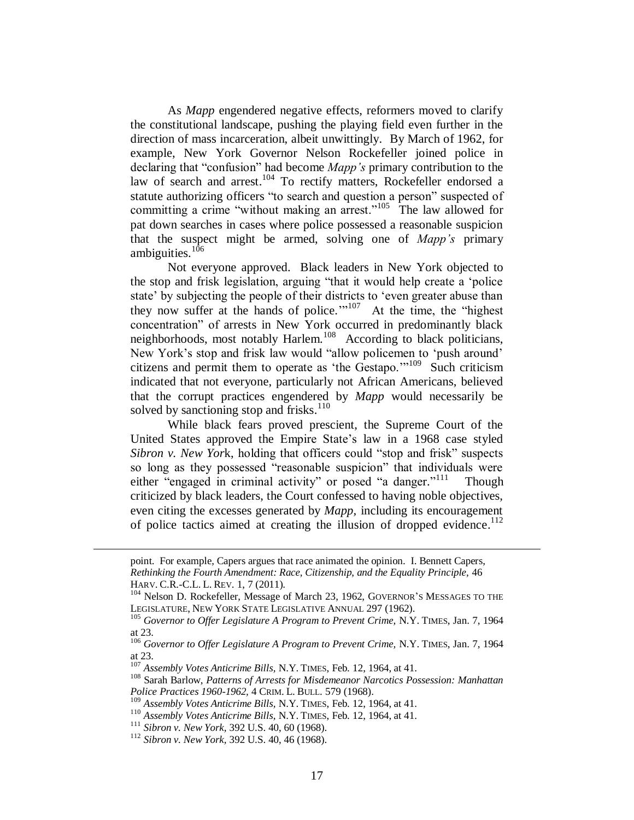As *Mapp* engendered negative effects, reformers moved to clarify the constitutional landscape, pushing the playing field even further in the direction of mass incarceration, albeit unwittingly. By March of 1962, for example, New York Governor Nelson Rockefeller joined police in declaring that "confusion" had become *Mapp's* primary contribution to the law of search and arrest.<sup>104</sup> To rectify matters, Rockefeller endorsed a statute authorizing officers "to search and question a person" suspected of committing a crime "without making an arrest."<sup>105</sup> The law allowed for pat down searches in cases where police possessed a reasonable suspicion that the suspect might be armed, solving one of *Mapp's* primary ambiguities.<sup>106</sup>

Not everyone approved. Black leaders in New York objected to the stop and frisk legislation, arguing "that it would help create a 'police state' by subjecting the people of their districts to 'even greater abuse than they now suffer at the hands of police."<sup>107</sup> At the time, the "highest" concentration" of arrests in New York occurred in predominantly black neighborhoods, most notably Harlem.<sup>108</sup> According to black politicians, New York's stop and frisk law would "allow policemen to 'push around' citizens and permit them to operate as 'the Gestapo.'"<sup>109</sup> Such criticism indicated that not everyone, particularly not African Americans, believed that the corrupt practices engendered by *Mapp* would necessarily be solved by sanctioning stop and frisks.<sup>110</sup>

While black fears proved prescient, the Supreme Court of the United States approved the Empire State's law in a 1968 case styled *Sibron v. New Yor*k, holding that officers could "stop and frisk" suspects so long as they possessed "reasonable suspicion" that individuals were either "engaged in criminal activity" or posed "a danger."<sup>111</sup> Though criticized by black leaders, the Court confessed to having noble objectives, even citing the excesses generated by *Mapp,* including its encouragement of police tactics aimed at creating the illusion of dropped evidence.<sup>112</sup>

point. For example, Capers argues that race animated the opinion. I. Bennett Capers, *Rethinking the Fourth Amendment: Race, Citizenship, and the Equality Principle,* 46 HARV. C.R.-C.L. L. REV. 1, 7 (2011).

<sup>&</sup>lt;sup>104</sup> Nelson D. Rockefeller, Message of March 23, 1962, GOVERNOR'S MESSAGES TO THE LEGISLATURE, NEW YORK STATE LEGISLATIVE ANNUAL 297 (1962).

<sup>105</sup> *Governor to Offer Legislature A Program to Prevent Crime,* N.Y. TIMES, Jan. 7, 1964 at 23.

<sup>106</sup> *Governor to Offer Legislature A Program to Prevent Crime,* N.Y. TIMES, Jan. 7, 1964 at 23.

<sup>107</sup> *Assembly Votes Anticrime Bills,* N.Y. TIMES, Feb. 12, 1964, at 41.

<sup>108</sup> Sarah Barlow, *Patterns of Arrests for Misdemeanor Narcotics Possession: Manhattan Police Practices 1960-1962,* 4 CRIM. L. BULL. 579 (1968).

<sup>109</sup> *Assembly Votes Anticrime Bills,* N.Y. TIMES, Feb. 12, 1964, at 41.

<sup>110</sup> *Assembly Votes Anticrime Bills,* N.Y. TIMES, Feb. 12, 1964, at 41.

<sup>111</sup> *Sibron v. New York,* 392 U.S. 40, 60 (1968).

<sup>112</sup> *Sibron v. New York,* 392 U.S. 40, 46 (1968).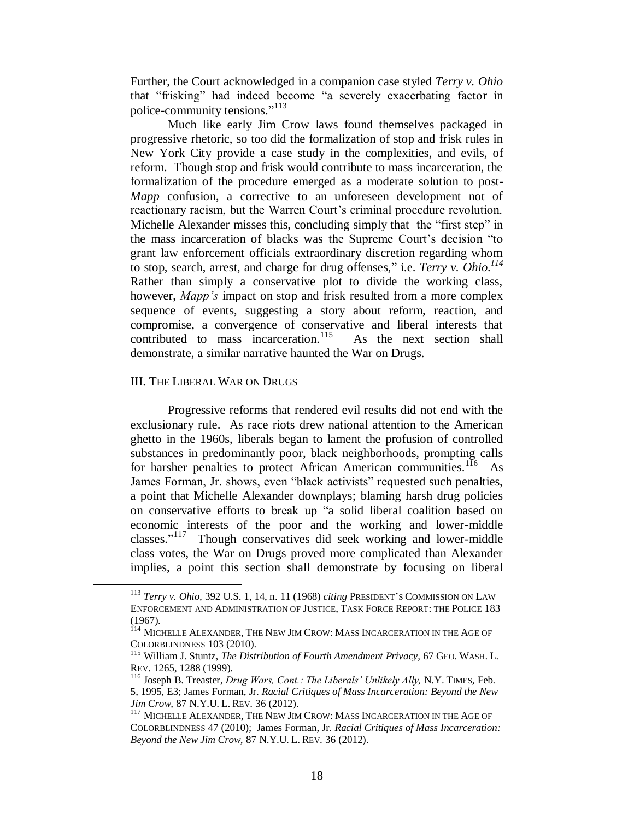Further, the Court acknowledged in a companion case styled *Terry v. Ohio* that "frisking" had indeed become "a severely exacerbating factor in police-community tensions." 113

Much like early Jim Crow laws found themselves packaged in progressive rhetoric, so too did the formalization of stop and frisk rules in New York City provide a case study in the complexities, and evils, of reform. Though stop and frisk would contribute to mass incarceration, the formalization of the procedure emerged as a moderate solution to post-*Mapp* confusion, a corrective to an unforeseen development not of reactionary racism, but the Warren Court's criminal procedure revolution. Michelle Alexander misses this, concluding simply that the "first step" in the mass incarceration of blacks was the Supreme Court's decision "to grant law enforcement officials extraordinary discretion regarding whom to stop, search, arrest, and charge for drug offenses," i.e. *Terry v. Ohio.<sup>114</sup>* Rather than simply a conservative plot to divide the working class, however, *Mapp's* impact on stop and frisk resulted from a more complex sequence of events, suggesting a story about reform, reaction, and compromise, a convergence of conservative and liberal interests that contributed to mass incarceration.<sup>115</sup> As the next section shall demonstrate, a similar narrative haunted the War on Drugs.

## III. THE LIBERAL WAR ON DRUGS

 $\overline{a}$ 

Progressive reforms that rendered evil results did not end with the exclusionary rule. As race riots drew national attention to the American ghetto in the 1960s, liberals began to lament the profusion of controlled substances in predominantly poor, black neighborhoods, prompting calls for harsher penalties to protect African American communities.<sup>116</sup> As James Forman, Jr. shows, even "black activists" requested such penalties, a point that Michelle Alexander downplays; blaming harsh drug policies on conservative efforts to break up "a solid liberal coalition based on economic interests of the poor and the working and lower-middle classes."<sup>117</sup> Though conservatives did seek working and lower-middle class votes, the War on Drugs proved more complicated than Alexander implies, a point this section shall demonstrate by focusing on liberal

<sup>113</sup> *Terry v. Ohio,* 392 U.S. 1, 14, n. 11 (1968) *citing* PRESIDENT'S COMMISSION ON LAW ENFORCEMENT AND ADMINISTRATION OF JUSTICE, TASK FORCE REPORT: THE POLICE 183 (1967).

<sup>&</sup>lt;sup>114</sup> MICHELLE ALEXANDER, THE NEW JIM CROW: MASS INCARCERATION IN THE AGE OF COLORBLINDNESS 103 (2010).

<sup>115</sup> William J. Stuntz, *The Distribution of Fourth Amendment Privacy,* 67 GEO. WASH. L. REV. 1265, 1288 (1999).

<sup>116</sup> Joseph B. Treaster, *Drug Wars, Cont.: The Liberals' Unlikely Ally,* N.Y. TIMES, Feb. 5, 1995, E3; James Forman, Jr. *Racial Critiques of Mass Incarceration: Beyond the New Jim Crow,* 87 N.Y.U. L. REV. 36 (2012).

<sup>&</sup>lt;sup>117</sup> MICHELLE ALEXANDER, THE NEW JIM CROW: MASS INCARCERATION IN THE AGE OF COLORBLINDNESS 47 (2010); James Forman, Jr. *Racial Critiques of Mass Incarceration: Beyond the New Jim Crow,* 87 N.Y.U. L. REV. 36 (2012).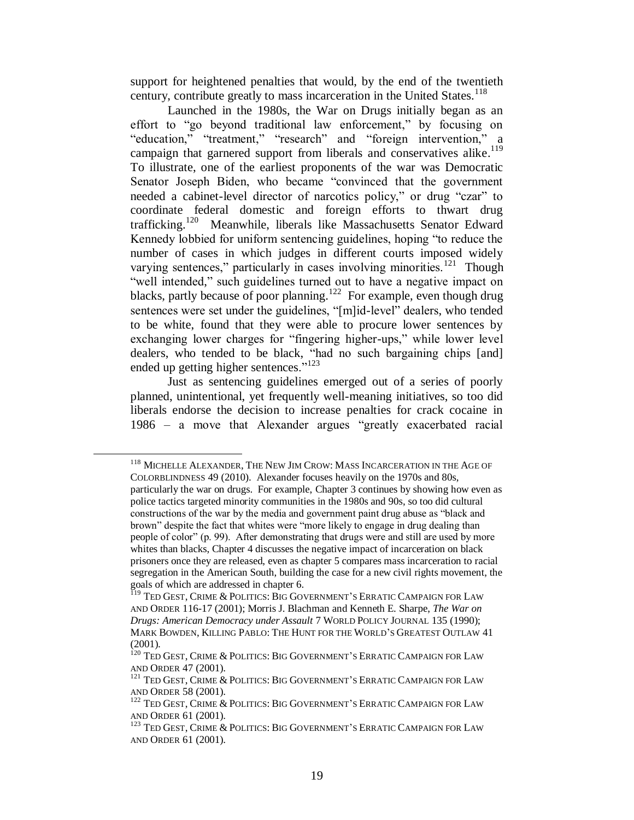support for heightened penalties that would, by the end of the twentieth century, contribute greatly to mass incarceration in the United States.<sup>118</sup>

Launched in the 1980s, the War on Drugs initially began as an effort to "go beyond traditional law enforcement," by focusing on "education," "treatment," "research" and "foreign intervention," a campaign that garnered support from liberals and conservatives alike.<sup>119</sup> To illustrate, one of the earliest proponents of the war was Democratic Senator Joseph Biden, who became "convinced that the government needed a cabinet-level director of narcotics policy," or drug "czar" to coordinate federal domestic and foreign efforts to thwart drug trafficking.<sup>120</sup> Meanwhile, liberals like Massachusetts Senator Edward Kennedy lobbied for uniform sentencing guidelines, hoping "to reduce the number of cases in which judges in different courts imposed widely varying sentences," particularly in cases involving minorities.<sup>121</sup> Though "well intended," such guidelines turned out to have a negative impact on blacks, partly because of poor planning.<sup>122</sup> For example, even though drug sentences were set under the guidelines, "[m]id-level" dealers, who tended to be white, found that they were able to procure lower sentences by exchanging lower charges for "fingering higher-ups," while lower level dealers, who tended to be black, "had no such bargaining chips [and] ended up getting higher sentences."<sup>123</sup>

Just as sentencing guidelines emerged out of a series of poorly planned, unintentional, yet frequently well-meaning initiatives, so too did liberals endorse the decision to increase penalties for crack cocaine in 1986 – a move that Alexander argues "greatly exacerbated racial

<sup>&</sup>lt;sup>118</sup> MICHELLE ALEXANDER, THE NEW JIM CROW: MASS INCARCERATION IN THE AGE OF COLORBLINDNESS 49 (2010). Alexander focuses heavily on the 1970s and 80s, particularly the war on drugs. For example, Chapter 3 continues by showing how even as police tactics targeted minority communities in the 1980s and 90s, so too did cultural constructions of the war by the media and government paint drug abuse as "black and brown" despite the fact that whites were "more likely to engage in drug dealing than people of color" (p. 99). After demonstrating that drugs were and still are used by more whites than blacks, Chapter 4 discusses the negative impact of incarceration on black prisoners once they are released, even as chapter 5 compares mass incarceration to racial segregation in the American South, building the case for a new civil rights movement, the goals of which are addressed in chapter 6.

<sup>&</sup>lt;sup>119</sup> TED GEST, CRIME & POLITICS: BIG GOVERNMENT'S ERRATIC CAMPAIGN FOR LAW AND ORDER 116-17 (2001); Morris J. Blachman and Kenneth E. Sharpe, *The War on Drugs: American Democracy under Assault* 7 WORLD POLICY JOURNAL 135 (1990); MARK BOWDEN, KILLING PABLO: THE HUNT FOR THE WORLD'S GREATEST OUTLAW 41 (2001).

<sup>&</sup>lt;sup>120</sup> TED GEST, CRIME & POLITICS: BIG GOVERNMENT'S ERRATIC CAMPAIGN FOR LAW AND ORDER 47 (2001).

<sup>&</sup>lt;sup>121</sup> TED GEST, CRIME & POLITICS: BIG GOVERNMENT'S ERRATIC CAMPAIGN FOR LAW AND ORDER 58 (2001).

<sup>122</sup> TED GEST, CRIME & POLITICS: BIG GOVERNMENT'S ERRATIC CAMPAIGN FOR LAW AND ORDER 61 (2001).

<sup>&</sup>lt;sup>123</sup> TED GEST, CRIME & POLITICS: BIG GOVERNMENT'S ERRATIC CAMPAIGN FOR LAW AND ORDER 61 (2001).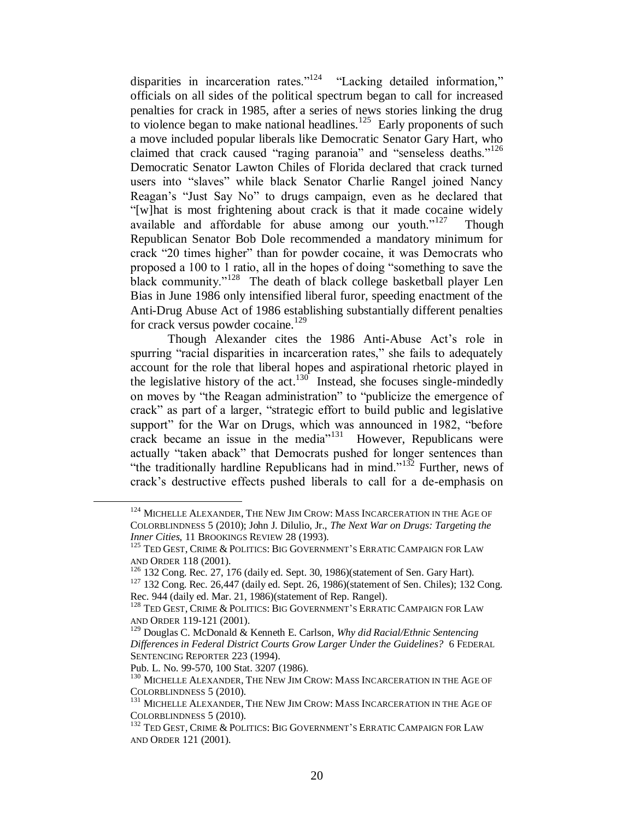disparities in incarceration rates."<sup>124</sup> "Lacking detailed information," officials on all sides of the political spectrum began to call for increased penalties for crack in 1985, after a series of news stories linking the drug to violence began to make national headlines.<sup>125</sup> Early proponents of such a move included popular liberals like Democratic Senator Gary Hart, who claimed that crack caused "raging paranoia" and "senseless deaths."<sup>126</sup> Democratic Senator Lawton Chiles of Florida declared that crack turned users into "slaves" while black Senator Charlie Rangel joined Nancy Reagan's "Just Say No" to drugs campaign, even as he declared that "[w]hat is most frightening about crack is that it made cocaine widely available and affordable for abuse among our youth."<sup>127</sup> Though Republican Senator Bob Dole recommended a mandatory minimum for crack "20 times higher" than for powder cocaine, it was Democrats who proposed a 100 to 1 ratio, all in the hopes of doing "something to save the black community."<sup>128</sup> The death of black college basketball player Len Bias in June 1986 only intensified liberal furor, speeding enactment of the Anti-Drug Abuse Act of 1986 establishing substantially different penalties for crack versus powder cocaine.<sup>129</sup>

Though Alexander cites the 1986 Anti-Abuse Act's role in spurring "racial disparities in incarceration rates," she fails to adequately account for the role that liberal hopes and aspirational rhetoric played in the legislative history of the act.<sup>130</sup> Instead, she focuses single-mindedly on moves by "the Reagan administration" to "publicize the emergence of crack" as part of a larger, "strategic effort to build public and legislative support" for the War on Drugs, which was announced in 1982, "before crack became an issue in the media"<sup>131</sup> However, Republicans were actually "taken aback" that Democrats pushed for longer sentences than "the traditionally hardline Republicans had in mind." $132$  Further, news of crack's destructive effects pushed liberals to call for a de-emphasis on

<sup>&</sup>lt;sup>124</sup> MICHELLE ALEXANDER, THE NEW JIM CROW: MASS INCARCERATION IN THE AGE OF COLORBLINDNESS 5 (2010); John J. Dilulio, Jr., *The Next War on Drugs: Targeting the Inner Cities,* 11 BROOKINGS REVIEW 28 (1993).

<sup>&</sup>lt;sup>125</sup> TED GEST, CRIME & POLITICS: BIG GOVERNMENT'S ERRATIC CAMPAIGN FOR LAW AND ORDER 118 (2001).

 $126$  132 Cong. Rec. 27, 176 (daily ed. Sept. 30, 1986)(statement of Sen. Gary Hart).

<sup>127</sup> 132 Cong. Rec. 26,447 (daily ed. Sept. 26, 1986)(statement of Sen. Chiles); 132 Cong. Rec. 944 (daily ed. Mar. 21, 1986)(statement of Rep. Rangel).

 $^{128}$  Ted Gest, Crime & Politics: Big Government's Erratic Campaign for Law AND ORDER 119-121 (2001).

<sup>129</sup> Douglas C. McDonald & Kenneth E. Carlson, *Why did Racial/Ethnic Sentencing Differences in Federal District Courts Grow Larger Under the Guidelines?* 6 FEDERAL SENTENCING REPORTER 223 (1994).

Pub. L. No. 99-570, 100 Stat. 3207 (1986).

<sup>&</sup>lt;sup>130</sup> MICHELLE ALEXANDER, THE NEW JIM CROW: MASS INCARCERATION IN THE AGE OF COLORBLINDNESS 5 (2010).

<sup>&</sup>lt;sup>131</sup> MICHELLE ALEXANDER, THE NEW JIM CROW: MASS INCARCERATION IN THE AGE OF COLORBLINDNESS 5 (2010).

<sup>&</sup>lt;sup>132</sup> TED GEST, CRIME & POLITICS: BIG GOVERNMENT'S ERRATIC CAMPAIGN FOR LAW AND ORDER 121 (2001).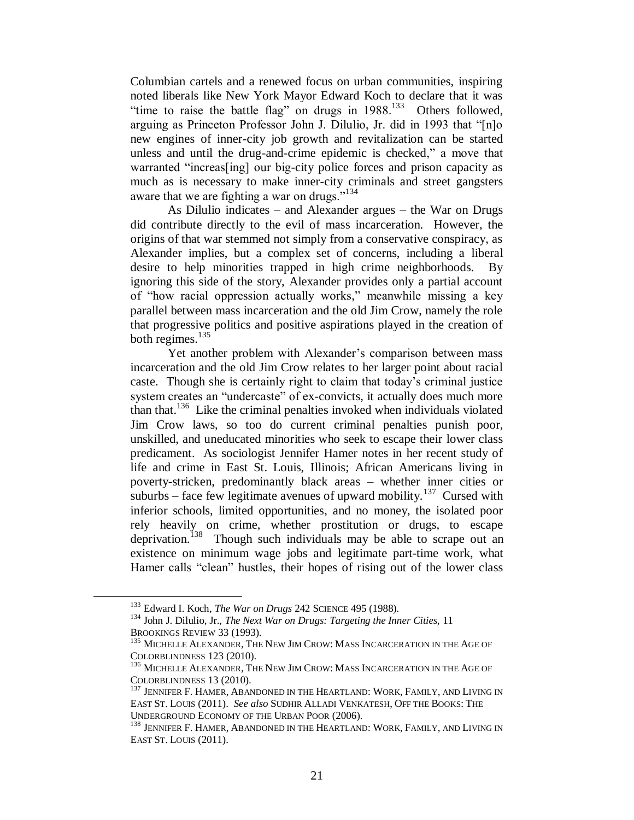Columbian cartels and a renewed focus on urban communities, inspiring noted liberals like New York Mayor Edward Koch to declare that it was "time to raise the battle flag" on drugs in  $1988$ <sup>133</sup> Others followed, arguing as Princeton Professor John J. Dilulio, Jr. did in 1993 that "[n]o new engines of inner-city job growth and revitalization can be started unless and until the drug-and-crime epidemic is checked," a move that warranted "increas[ing] our big-city police forces and prison capacity as much as is necessary to make inner-city criminals and street gangsters aware that we are fighting a war on drugs."<sup>134</sup>

As Dilulio indicates – and Alexander argues – the War on Drugs did contribute directly to the evil of mass incarceration. However, the origins of that war stemmed not simply from a conservative conspiracy, as Alexander implies, but a complex set of concerns, including a liberal desire to help minorities trapped in high crime neighborhoods. By ignoring this side of the story, Alexander provides only a partial account of "how racial oppression actually works," meanwhile missing a key parallel between mass incarceration and the old Jim Crow, namely the role that progressive politics and positive aspirations played in the creation of both regimes. $135$ 

Yet another problem with Alexander's comparison between mass incarceration and the old Jim Crow relates to her larger point about racial caste. Though she is certainly right to claim that today's criminal justice system creates an "undercaste" of ex-convicts, it actually does much more than that.<sup>136</sup> Like the criminal penalties invoked when individuals violated Jim Crow laws, so too do current criminal penalties punish poor, unskilled, and uneducated minorities who seek to escape their lower class predicament. As sociologist Jennifer Hamer notes in her recent study of life and crime in East St. Louis, Illinois; African Americans living in poverty-stricken, predominantly black areas – whether inner cities or suburbs – face few legitimate avenues of upward mobility.<sup>137</sup> Cursed with inferior schools, limited opportunities, and no money, the isolated poor rely heavily on crime, whether prostitution or drugs, to escape deprivation.<sup>138</sup> Though such individuals may be able to scrape out an existence on minimum wage jobs and legitimate part-time work, what Hamer calls "clean" hustles, their hopes of rising out of the lower class

<sup>133</sup> Edward I. Koch, *The War on Drugs* 242 SCIENCE 495 (1988).

<sup>134</sup> John J. Dilulio, Jr., *The Next War on Drugs: Targeting the Inner Cities,* 11 BROOKINGS REVIEW 33 (1993).

<sup>&</sup>lt;sup>135</sup> MICHELLE ALEXANDER, THE NEW JIM CROW: MASS INCARCERATION IN THE AGE OF COLORBLINDNESS 123 (2010).

<sup>&</sup>lt;sup>136</sup> MICHELLE ALEXANDER, THE NEW JIM CROW: MASS INCARCERATION IN THE AGE OF COLORBLINDNESS 13 (2010).

<sup>&</sup>lt;sup>137</sup> JENNIFER F. HAMER, ABANDONED IN THE HEARTLAND: WORK, FAMILY, AND LIVING IN EAST ST. LOUIS (2011). *See also* SUDHIR ALLADI VENKATESH, OFF THE BOOKS: THE UNDERGROUND ECONOMY OF THE URBAN POOR (2006).

<sup>&</sup>lt;sup>138</sup> JENNIFER F. HAMER, ABANDONED IN THE HEARTLAND: WORK, FAMILY, AND LIVING IN EAST ST. LOUIS (2011).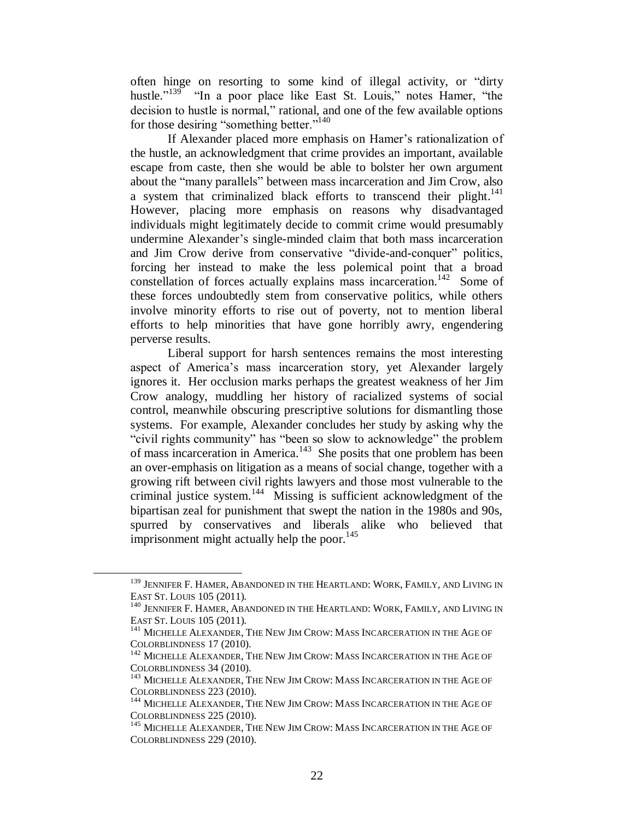often hinge on resorting to some kind of illegal activity, or "dirty hustle."<sup>139</sup> "In a poor place like East St. Louis," notes Hamer, "the decision to hustle is normal," rational, and one of the few available options for those desiring "something better."<sup>140</sup>

If Alexander placed more emphasis on Hamer's rationalization of the hustle, an acknowledgment that crime provides an important, available escape from caste, then she would be able to bolster her own argument about the "many parallels" between mass incarceration and Jim Crow, also a system that criminalized black efforts to transcend their plight.<sup>141</sup> However, placing more emphasis on reasons why disadvantaged individuals might legitimately decide to commit crime would presumably undermine Alexander's single-minded claim that both mass incarceration and Jim Crow derive from conservative "divide-and-conquer" politics, forcing her instead to make the less polemical point that a broad constellation of forces actually explains mass incarceration.<sup>142</sup> Some of these forces undoubtedly stem from conservative politics, while others involve minority efforts to rise out of poverty, not to mention liberal efforts to help minorities that have gone horribly awry, engendering perverse results.

Liberal support for harsh sentences remains the most interesting aspect of America's mass incarceration story, yet Alexander largely ignores it. Her occlusion marks perhaps the greatest weakness of her Jim Crow analogy, muddling her history of racialized systems of social control, meanwhile obscuring prescriptive solutions for dismantling those systems. For example, Alexander concludes her study by asking why the "civil rights community" has "been so slow to acknowledge" the problem of mass incarceration in America.<sup>143</sup> She posits that one problem has been an over-emphasis on litigation as a means of social change, together with a growing rift between civil rights lawyers and those most vulnerable to the criminal justice system.<sup>144</sup> Missing is sufficient acknowledgment of the bipartisan zeal for punishment that swept the nation in the 1980s and 90s, spurred by conservatives and liberals alike who believed that imprisonment might actually help the poor. $145$ 

<sup>&</sup>lt;sup>139</sup> JENNIFER F. HAMER, ABANDONED IN THE HEARTLAND: WORK, FAMILY, AND LIVING IN EAST ST. LOUIS 105 (2011).

 $^{140}$  Jennifer F. Hamer, Abandoned in the Heartland: Work, Family, and Living in EAST ST. LOUIS 105 (2011).

<sup>&</sup>lt;sup>141</sup> MICHELLE ALEXANDER, THE NEW JIM CROW: MASS INCARCERATION IN THE AGE OF COLORBLINDNESS 17 (2010).

 $^{142}$  MICHELLE ALEXANDER, THE NEW JIM CROW: MASS INCARCERATION IN THE AGE OF COLORBLINDNESS 34 (2010).

<sup>&</sup>lt;sup>143</sup> MICHELLE ALEXANDER, THE NEW JIM CROW: MASS INCARCERATION IN THE AGE OF COLORBLINDNESS 223 (2010).

<sup>&</sup>lt;sup>144</sup> MICHELLE ALEXANDER, THE NEW JIM CROW: MASS INCARCERATION IN THE AGE OF COLORBLINDNESS 225 (2010).

<sup>&</sup>lt;sup>145</sup> MICHELLE ALEXANDER, THE NEW JIM CROW: MASS INCARCERATION IN THE AGE OF COLORBLINDNESS 229 (2010).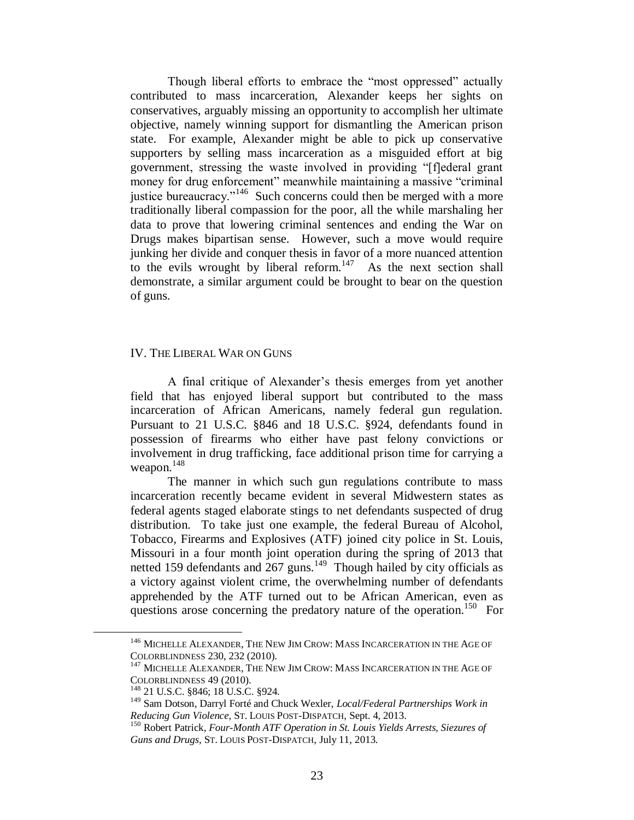Though liberal efforts to embrace the "most oppressed" actually contributed to mass incarceration, Alexander keeps her sights on conservatives, arguably missing an opportunity to accomplish her ultimate objective, namely winning support for dismantling the American prison state. For example, Alexander might be able to pick up conservative supporters by selling mass incarceration as a misguided effort at big government, stressing the waste involved in providing "[f]ederal grant money for drug enforcement" meanwhile maintaining a massive "criminal justice bureaucracy."<sup>146</sup> Such concerns could then be merged with a more traditionally liberal compassion for the poor, all the while marshaling her data to prove that lowering criminal sentences and ending the War on Drugs makes bipartisan sense. However, such a move would require junking her divide and conquer thesis in favor of a more nuanced attention to the evils wrought by liberal reform.<sup>147</sup> As the next section shall demonstrate, a similar argument could be brought to bear on the question of guns.

#### IV. THE LIBERAL WAR ON GUNS

A final critique of Alexander's thesis emerges from yet another field that has enjoyed liberal support but contributed to the mass incarceration of African Americans, namely federal gun regulation. Pursuant to 21 U.S.C. §846 and 18 U.S.C. §924, defendants found in possession of firearms who either have past felony convictions or involvement in drug trafficking, face additional prison time for carrying a weapon. $148$ 

The manner in which such gun regulations contribute to mass incarceration recently became evident in several Midwestern states as federal agents staged elaborate stings to net defendants suspected of drug distribution. To take just one example, the federal Bureau of Alcohol, Tobacco, Firearms and Explosives (ATF) joined city police in St. Louis, Missouri in a four month joint operation during the spring of 2013 that netted 159 defendants and  $267$  guns.<sup>149</sup> Though hailed by city officials as a victory against violent crime, the overwhelming number of defendants apprehended by the ATF turned out to be African American, even as questions arose concerning the predatory nature of the operation.<sup>150</sup> For

<sup>&</sup>lt;sup>146</sup> MICHELLE ALEXANDER, THE NEW JIM CROW: MASS INCARCERATION IN THE AGE OF COLORBLINDNESS 230, 232 (2010).

<sup>&</sup>lt;sup>147</sup> MICHELLE ALEXANDER, THE NEW JIM CROW: MASS INCARCERATION IN THE AGE OF COLORBLINDNESS 49 (2010).

<sup>148</sup> 21 U.S.C. §846; 18 U.S.C. §924.

<sup>149</sup> Sam Dotson, Darryl Forté and Chuck Wexler, *Local/Federal Partnerships Work in Reducing Gun Violence,* ST. LOUIS POST-DISPATCH, Sept. 4, 2013.

<sup>150</sup> Robert Patrick, *Four-Month ATF Operation in St. Louis Yields Arrests, Siezures of Guns and Drugs,* ST. LOUIS POST-DISPATCH, July 11, 2013.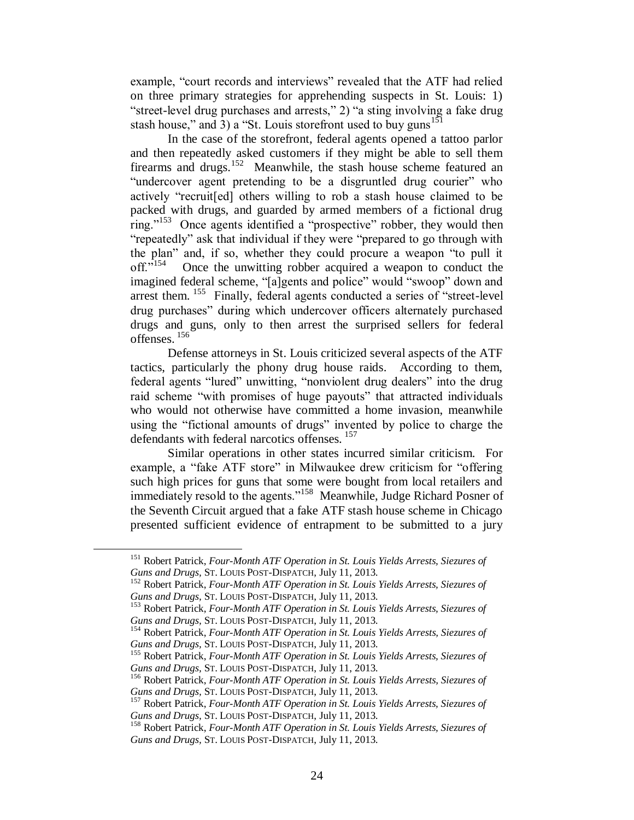example, "court records and interviews" revealed that the ATF had relied on three primary strategies for apprehending suspects in St. Louis: 1) "street-level drug purchases and arrests," 2) "a sting involving a fake drug stash house," and 3) a "St. Louis storefront used to buy guns<sup>151</sup>

In the case of the storefront, federal agents opened a tattoo parlor and then repeatedly asked customers if they might be able to sell them firearms and drugs.<sup>152</sup> Meanwhile, the stash house scheme featured an "undercover agent pretending to be a disgruntled drug courier" who actively "recruit[ed] others willing to rob a stash house claimed to be packed with drugs, and guarded by armed members of a fictional drug ring."<sup>153</sup> Once agents identified a "prospective" robber, they would then "repeatedly" ask that individual if they were "prepared to go through with the plan" and, if so, whether they could procure a weapon "to pull it off." $^{154}$  Once the unwitting robber acquired a weapon to conduct the imagined federal scheme, "[a]gents and police" would "swoop" down and arrest them. <sup>155</sup> Finally, federal agents conducted a series of "street-level drug purchases" during which undercover officers alternately purchased drugs and guns, only to then arrest the surprised sellers for federal offenses. <sup>156</sup>

Defense attorneys in St. Louis criticized several aspects of the ATF tactics, particularly the phony drug house raids. According to them, federal agents "lured" unwitting, "nonviolent drug dealers" into the drug raid scheme "with promises of huge payouts" that attracted individuals who would not otherwise have committed a home invasion, meanwhile using the "fictional amounts of drugs" invented by police to charge the defendants with federal narcotics offenses. <sup>157</sup>

Similar operations in other states incurred similar criticism. For example, a "fake ATF store" in Milwaukee drew criticism for "offering such high prices for guns that some were bought from local retailers and immediately resold to the agents."<sup>158</sup> Meanwhile, Judge Richard Posner of the Seventh Circuit argued that a fake ATF stash house scheme in Chicago presented sufficient evidence of entrapment to be submitted to a jury

<sup>151</sup> Robert Patrick, *Four-Month ATF Operation in St. Louis Yields Arrests, Siezures of Guns and Drugs,* ST. LOUIS POST-DISPATCH, July 11, 2013.

<sup>152</sup> Robert Patrick, *Four-Month ATF Operation in St. Louis Yields Arrests, Siezures of Guns and Drugs,* ST. LOUIS POST-DISPATCH, July 11, 2013.

<sup>153</sup> Robert Patrick, *Four-Month ATF Operation in St. Louis Yields Arrests, Siezures of Guns and Drugs,* ST. LOUIS POST-DISPATCH, July 11, 2013.

<sup>154</sup> Robert Patrick, *Four-Month ATF Operation in St. Louis Yields Arrests, Siezures of Guns and Drugs,* ST. LOUIS POST-DISPATCH, July 11, 2013.

<sup>155</sup> Robert Patrick, *Four-Month ATF Operation in St. Louis Yields Arrests, Siezures of Guns and Drugs,* ST. LOUIS POST-DISPATCH, July 11, 2013.

<sup>156</sup> Robert Patrick, *Four-Month ATF Operation in St. Louis Yields Arrests, Siezures of Guns and Drugs,* ST. LOUIS POST-DISPATCH, July 11, 2013.

<sup>157</sup> Robert Patrick, *Four-Month ATF Operation in St. Louis Yields Arrests, Siezures of Guns and Drugs,* ST. LOUIS POST-DISPATCH, July 11, 2013.

<sup>158</sup> Robert Patrick, *Four-Month ATF Operation in St. Louis Yields Arrests, Siezures of Guns and Drugs,* ST. LOUIS POST-DISPATCH, July 11, 2013.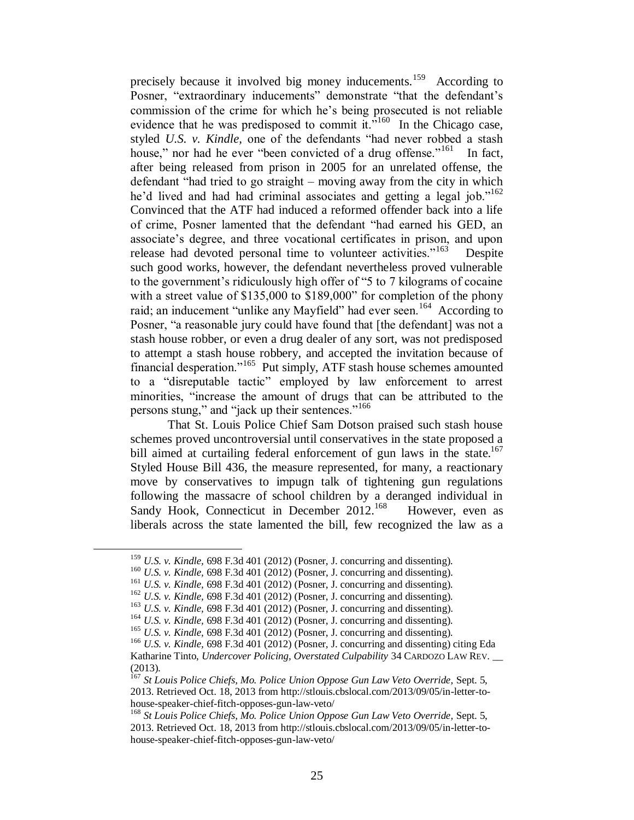precisely because it involved big money inducements.<sup>159</sup> According to Posner, "extraordinary inducements" demonstrate "that the defendant's commission of the crime for which he's being prosecuted is not reliable evidence that he was predisposed to commit it."<sup>160</sup> In the Chicago case, styled *U.S. v. Kindle,* one of the defendants "had never robbed a stash house," nor had he ever "been convicted of a drug offense."<sup>161</sup> In fact, after being released from prison in 2005 for an unrelated offense, the defendant "had tried to go straight – moving away from the city in which he'd lived and had had criminal associates and getting a legal job."<sup>162</sup> Convinced that the ATF had induced a reformed offender back into a life of crime, Posner lamented that the defendant "had earned his GED, an associate's degree, and three vocational certificates in prison, and upon release had devoted personal time to volunteer activities."<sup>163</sup> **Despite** such good works, however, the defendant nevertheless proved vulnerable to the government's ridiculously high offer of "5 to 7 kilograms of cocaine with a street value of \$135,000 to \$189,000" for completion of the phony raid; an inducement "unlike any Mayfield" had ever seen.<sup>164</sup> According to Posner, "a reasonable jury could have found that [the defendant] was not a stash house robber, or even a drug dealer of any sort, was not predisposed to attempt a stash house robbery, and accepted the invitation because of financial desperation."<sup>165</sup> Put simply, ATF stash house schemes amounted to a "disreputable tactic" employed by law enforcement to arrest minorities, "increase the amount of drugs that can be attributed to the persons stung," and "jack up their sentences."<sup>166</sup>

That St. Louis Police Chief Sam Dotson praised such stash house schemes proved uncontroversial until conservatives in the state proposed a bill aimed at curtailing federal enforcement of gun laws in the state.<sup>167</sup> Styled House Bill 436, the measure represented, for many, a reactionary move by conservatives to impugn talk of tightening gun regulations following the massacre of school children by a deranged individual in Sandy Hook, Connecticut in December 2012.<sup>168</sup> However, even as liberals across the state lamented the bill, few recognized the law as a

<sup>159</sup> *U.S. v. Kindle,* 698 F.3d 401 (2012) (Posner, J. concurring and dissenting).

<sup>160</sup> *U.S. v. Kindle,* 698 F.3d 401 (2012) (Posner, J. concurring and dissenting).

<sup>161</sup> *U.S. v. Kindle,* 698 F.3d 401 (2012) (Posner, J. concurring and dissenting).

<sup>162</sup> *U.S. v. Kindle,* 698 F.3d 401 (2012) (Posner, J. concurring and dissenting).

<sup>163</sup> *U.S. v. Kindle,* 698 F.3d 401 (2012) (Posner, J. concurring and dissenting).

<sup>164</sup> *U.S. v. Kindle,* 698 F.3d 401 (2012) (Posner, J. concurring and dissenting).

<sup>165</sup> *U.S. v. Kindle,* 698 F.3d 401 (2012) (Posner, J. concurring and dissenting).

<sup>166</sup> *U.S. v. Kindle,* 698 F.3d 401 (2012) (Posner, J. concurring and dissenting) citing Eda

Katharine Tinto, *Undercover Policing, Overstated Culpability* 34 CARDOZO LAW REV. \_\_ (2013).

<sup>&</sup>lt;sup>167</sup> *St Louis Police Chiefs, Mo. Police Union Oppose Gun Law Veto Override, Sept. 5,* 2013. Retrieved Oct. 18, 2013 from http://stlouis.cbslocal.com/2013/09/05/in-letter-tohouse-speaker-chief-fitch-opposes-gun-law-veto/

<sup>&</sup>lt;sup>168</sup> St Louis Police Chiefs, Mo. Police Union Oppose Gun Law Veto Override, Sept. 5, 2013. Retrieved Oct. 18, 2013 from http://stlouis.cbslocal.com/2013/09/05/in-letter-tohouse-speaker-chief-fitch-opposes-gun-law-veto/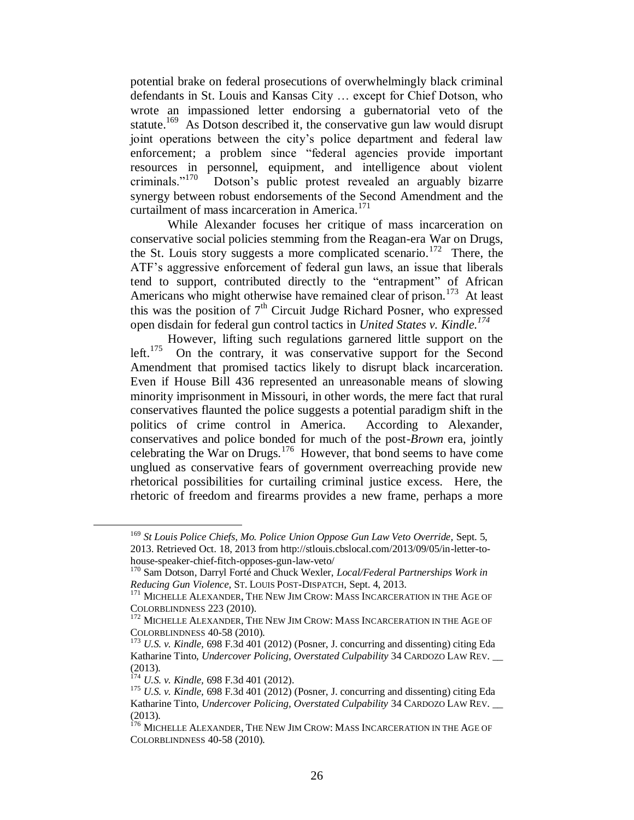potential brake on federal prosecutions of overwhelmingly black criminal defendants in St. Louis and Kansas City … except for Chief Dotson, who wrote an impassioned letter endorsing a gubernatorial veto of the statute.<sup>169</sup> As Dotson described it, the conservative gun law would disrupt joint operations between the city's police department and federal law enforcement; a problem since "federal agencies provide important resources in personnel, equipment, and intelligence about violent criminals."<sup>170</sup> Dotson's public protest revealed an arguably bizarre synergy between robust endorsements of the Second Amendment and the curtailment of mass incarceration in America.<sup>171</sup>

While Alexander focuses her critique of mass incarceration on conservative social policies stemming from the Reagan-era War on Drugs, the St. Louis story suggests a more complicated scenario.<sup>172</sup> There, the ATF's aggressive enforcement of federal gun laws, an issue that liberals tend to support, contributed directly to the "entrapment" of African Americans who might otherwise have remained clear of prison.<sup>173</sup> At least this was the position of  $7<sup>th</sup>$  Circuit Judge Richard Posner, who expressed open disdain for federal gun control tactics in *United States v. Kindle.<sup>174</sup>*

However, lifting such regulations garnered little support on the left.<sup>175</sup> On the contrary, it was conservative support for the Second Amendment that promised tactics likely to disrupt black incarceration. Even if House Bill 436 represented an unreasonable means of slowing minority imprisonment in Missouri, in other words, the mere fact that rural conservatives flaunted the police suggests a potential paradigm shift in the politics of crime control in America. According to Alexander, conservatives and police bonded for much of the post-*Brown* era, jointly celebrating the War on Drugs.<sup>176</sup> However, that bond seems to have come unglued as conservative fears of government overreaching provide new rhetorical possibilities for curtailing criminal justice excess. Here, the rhetoric of freedom and firearms provides a new frame, perhaps a more

<sup>&</sup>lt;sup>169</sup> St Louis Police Chiefs, Mo. Police Union Oppose Gun Law Veto Override, Sept. 5, 2013. Retrieved Oct. 18, 2013 from http://stlouis.cbslocal.com/2013/09/05/in-letter-tohouse-speaker-chief-fitch-opposes-gun-law-veto/

<sup>170</sup> Sam Dotson, Darryl Forté and Chuck Wexler, *Local/Federal Partnerships Work in Reducing Gun Violence,* ST. LOUIS POST-DISPATCH, Sept. 4, 2013.

<sup>&</sup>lt;sup>171</sup> MICHELLE ALEXANDER, THE NEW JIM CROW: MASS INCARCERATION IN THE AGE OF COLORBLINDNESS 223 (2010).

<sup>&</sup>lt;sup>172</sup> MICHELLE ALEXANDER, THE NEW JIM CROW: MASS INCARCERATION IN THE AGE OF COLORBLINDNESS 40-58 (2010).

<sup>173</sup> *U.S. v. Kindle,* 698 F.3d 401 (2012) (Posner, J. concurring and dissenting) citing Eda Katharine Tinto, *Undercover Policing, Overstated Culpability* 34 CARDOZO LAW REV. \_\_ (2013).

<sup>174</sup> *U.S. v. Kindle,* 698 F.3d 401 (2012).

<sup>175</sup> *U.S. v. Kindle,* 698 F.3d 401 (2012) (Posner, J. concurring and dissenting) citing Eda Katharine Tinto, *Undercover Policing, Overstated Culpability* 34 CARDOZO LAW REV. \_\_ (2013).

<sup>&</sup>lt;sup>176</sup> MICHELLE ALEXANDER, THE NEW JIM CROW: MASS INCARCERATION IN THE AGE OF COLORBLINDNESS 40-58 (2010).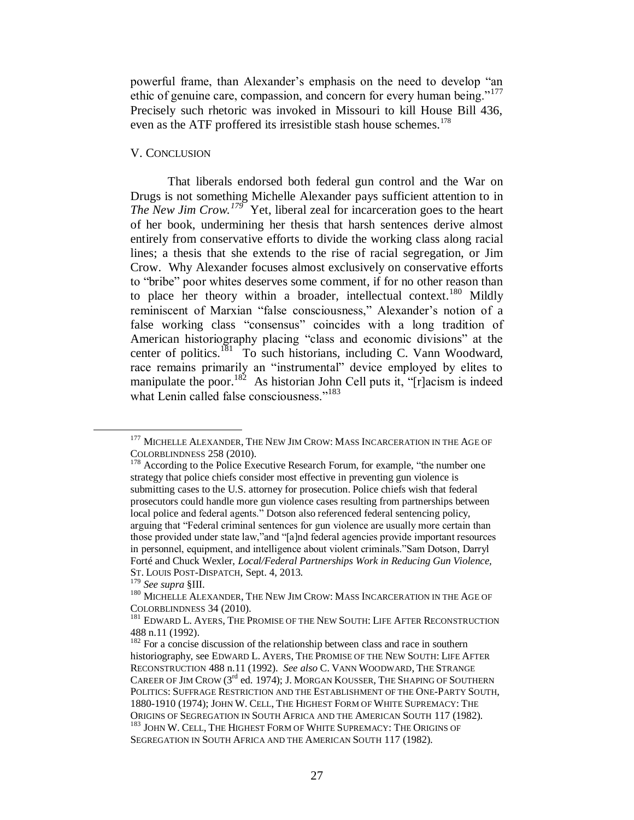powerful frame, than Alexander's emphasis on the need to develop "an ethic of genuine care, compassion, and concern for every human being."<sup>177</sup> Precisely such rhetoric was invoked in Missouri to kill House Bill 436, even as the ATF proffered its irresistible stash house schemes.<sup>178</sup>

### V. CONCLUSION

That liberals endorsed both federal gun control and the War on Drugs is not something Michelle Alexander pays sufficient attention to in *The New Jim Crow.<sup>179</sup>* Yet, liberal zeal for incarceration goes to the heart of her book, undermining her thesis that harsh sentences derive almost entirely from conservative efforts to divide the working class along racial lines; a thesis that she extends to the rise of racial segregation, or Jim Crow. Why Alexander focuses almost exclusively on conservative efforts to "bribe" poor whites deserves some comment, if for no other reason than to place her theory within a broader, intellectual context.<sup>180</sup> Mildly reminiscent of Marxian "false consciousness," Alexander's notion of a false working class "consensus" coincides with a long tradition of American historiography placing "class and economic divisions" at the center of politics.<sup>181</sup> To such historians, including C. Vann Woodward, race remains primarily an "instrumental" device employed by elites to manipulate the poor.<sup>182</sup> As historian John Cell puts it, " $r$ ] acism is indeed what Lenin called false consciousness."<sup>183</sup>

<sup>&</sup>lt;sup>177</sup> MICHELLE ALEXANDER, THE NEW JIM CROW: MASS INCARCERATION IN THE AGE OF COLORBLINDNESS 258 (2010).

<sup>&</sup>lt;sup>178</sup> According to the Police Executive Research Forum, for example, "the number one strategy that police chiefs consider most effective in preventing gun violence is submitting cases to the U.S. attorney for prosecution. Police chiefs wish that federal prosecutors could handle more gun violence cases resulting from partnerships between local police and federal agents." Dotson also referenced federal sentencing policy, arguing that "Federal criminal sentences for gun violence are usually more certain than those provided under state law,"and "[a]nd federal agencies provide important resources in personnel, equipment, and intelligence about violent criminals."Sam Dotson, Darryl Forté and Chuck Wexler, *Local/Federal Partnerships Work in Reducing Gun Violence,* ST. LOUIS POST-DISPATCH, Sept. 4, 2013.

<sup>179</sup> *See supra* §III.

<sup>&</sup>lt;sup>180</sup> MICHELLE ALEXANDER, THE NEW JIM CROW: MASS INCARCERATION IN THE AGE OF COLORBLINDNESS 34 (2010).

<sup>&</sup>lt;sup>181</sup> EDWARD L. AYERS, THE PROMISE OF THE NEW SOUTH: LIFE AFTER RECONSTRUCTION 488 n.11 (1992).

<sup>&</sup>lt;sup>182</sup> For a concise discussion of the relationship between class and race in southern historiography, see EDWARD L. AYERS, THE PROMISE OF THE NEW SOUTH: LIFE AFTER RECONSTRUCTION 488 n.11 (1992). *See also* C. VANN WOODWARD, THE STRANGE CAREER OF JIM CROW ( $3^{\text{rd}}$  ed. 1974); J. Morgan Kousser, The Shaping of Southern POLITICS: SUFFRAGE RESTRICTION AND THE ESTABLISHMENT OF THE ONE-PARTY SOUTH, 1880-1910 (1974); JOHN W. CELL, THE HIGHEST FORM OF WHITE SUPREMACY: THE ORIGINS OF SEGREGATION IN SOUTH AFRICA AND THE AMERICAN SOUTH 117 (1982). <sup>183</sup> JOHN W. CELL, THE HIGHEST FORM OF WHITE SUPREMACY: THE ORIGINS OF SEGREGATION IN SOUTH AFRICA AND THE AMERICAN SOUTH 117 (1982).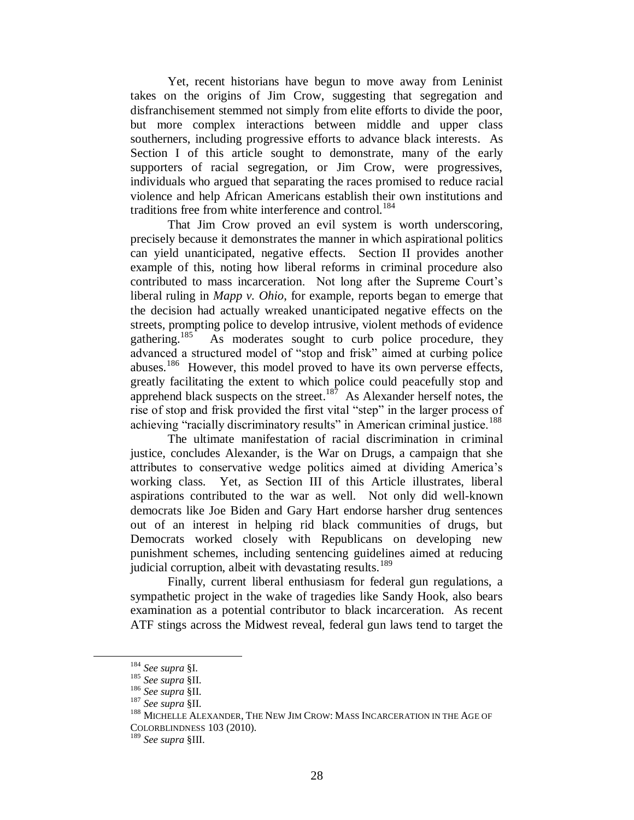Yet, recent historians have begun to move away from Leninist takes on the origins of Jim Crow, suggesting that segregation and disfranchisement stemmed not simply from elite efforts to divide the poor, but more complex interactions between middle and upper class southerners, including progressive efforts to advance black interests. As Section I of this article sought to demonstrate, many of the early supporters of racial segregation, or Jim Crow, were progressives, individuals who argued that separating the races promised to reduce racial violence and help African Americans establish their own institutions and traditions free from white interference and control. 184

That Jim Crow proved an evil system is worth underscoring, precisely because it demonstrates the manner in which aspirational politics can yield unanticipated, negative effects. Section II provides another example of this, noting how liberal reforms in criminal procedure also contributed to mass incarceration. Not long after the Supreme Court's liberal ruling in *Mapp v. Ohio*, for example, reports began to emerge that the decision had actually wreaked unanticipated negative effects on the streets, prompting police to develop intrusive, violent methods of evidence gathering.<sup>185</sup> As moderates sought to curb police procedure, they As moderates sought to curb police procedure, they advanced a structured model of "stop and frisk" aimed at curbing police abuses.<sup>186</sup> However, this model proved to have its own perverse effects, greatly facilitating the extent to which police could peacefully stop and apprehend black suspects on the street.<sup>187</sup> As Alexander herself notes, the rise of stop and frisk provided the first vital "step" in the larger process of achieving "racially discriminatory results" in American criminal justice.<sup>188</sup>

The ultimate manifestation of racial discrimination in criminal justice, concludes Alexander, is the War on Drugs, a campaign that she attributes to conservative wedge politics aimed at dividing America's working class. Yet, as Section III of this Article illustrates, liberal aspirations contributed to the war as well. Not only did well-known democrats like Joe Biden and Gary Hart endorse harsher drug sentences out of an interest in helping rid black communities of drugs, but Democrats worked closely with Republicans on developing new punishment schemes, including sentencing guidelines aimed at reducing judicial corruption, albeit with devastating results. $189$ 

Finally, current liberal enthusiasm for federal gun regulations, a sympathetic project in the wake of tragedies like Sandy Hook, also bears examination as a potential contributor to black incarceration. As recent ATF stings across the Midwest reveal, federal gun laws tend to target the

<sup>184</sup> *See supra* §I.

<sup>185</sup> *See supra* §II.

<sup>186</sup> *See supra* §II.

<sup>187</sup> *See supra* §II.

<sup>188</sup> MICHELLE ALEXANDER, THE NEW JIM CROW: MASS INCARCERATION IN THE AGE OF COLORBLINDNESS 103 (2010).

<sup>189</sup> *See supra* §III.